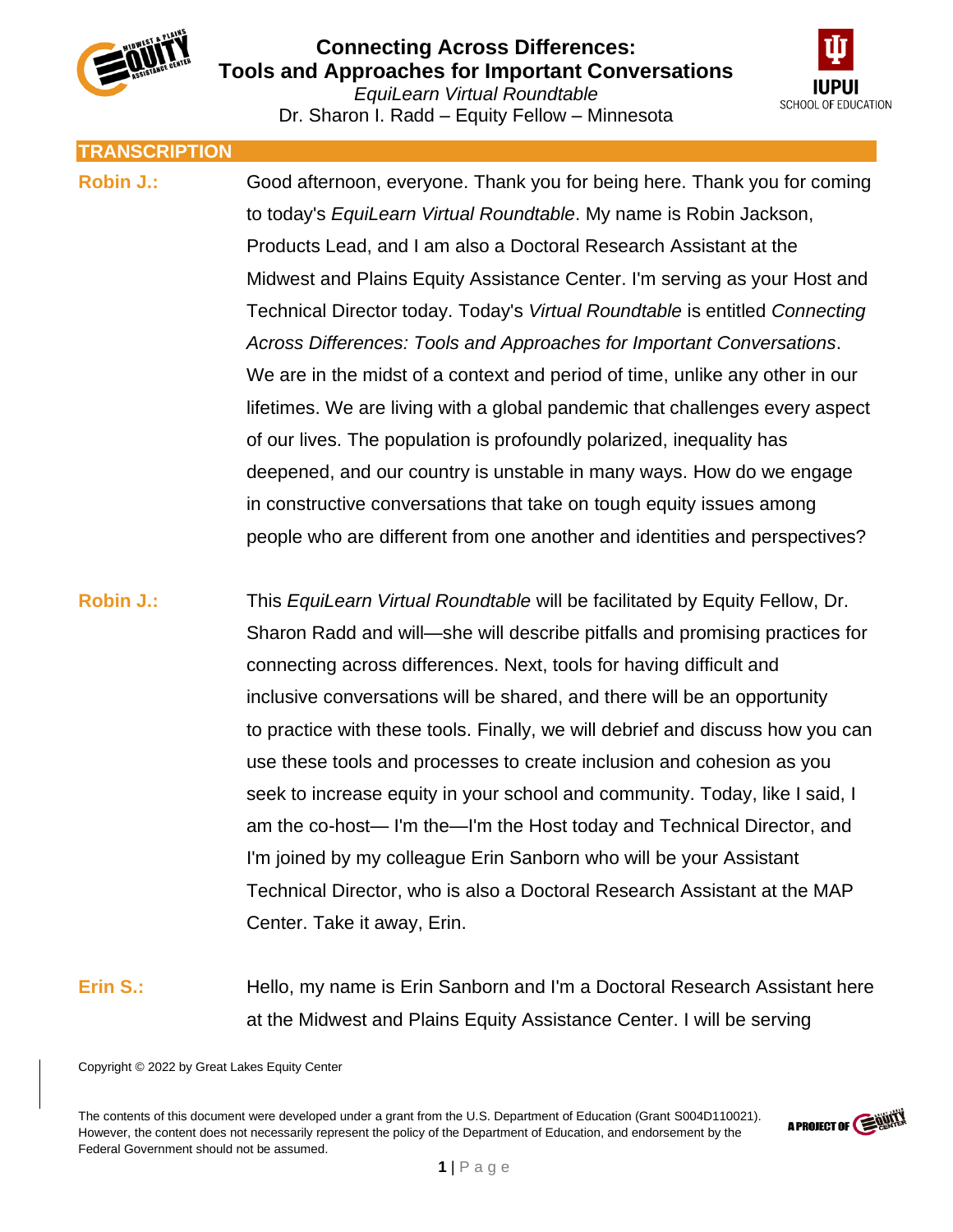

Dr. Sharon I. Radd – Equity Fellow – Minnesota



**TRANSCRIPTION Robin J.:** Good afternoon, everyone. Thank you for being here. Thank you for coming to today's *EquiLearn Virtual Roundtable*. My name is Robin Jackson, Products Lead, and I am also a Doctoral Research Assistant at the Midwest and Plains Equity Assistance Center. I'm serving as your Host and Technical Director today. Today's *Virtual Roundtable* is entitled *Connecting Across Differences: Tools and Approaches for Important Conversations*. We are in the midst of a context and period of time, unlike any other in our lifetimes. We are living with a global pandemic that challenges every aspect of our lives. The population is profoundly polarized, inequality has deepened, and our country is unstable in many ways. How do we engage in constructive conversations that take on tough equity issues among people who are different from one another and identities and perspectives? **Robin J.:** This *EquiLearn Virtual Roundtable* will be facilitated by Equity Fellow, Dr. Sharon Radd and will—she will describe pitfalls and promising practices for connecting across differences. Next, tools for having difficult and inclusive conversations will be shared, and there will be an opportunity to practice with these tools. Finally, we will debrief and discuss how you can use these tools and processes to create inclusion and cohesion as you seek to increase equity in your school and community. Today, like I said, I am the co-host— I'm the—I'm the Host today and Technical Director, and I'm joined by my colleague Erin Sanborn who will be your Assistant Technical Director, who is also a Doctoral Research Assistant at the MAP Center. Take it away, Erin.

**Erin S.:** Hello, my name is Erin Sanborn and I'm a Doctoral Research Assistant here at the Midwest and Plains Equity Assistance Center. I will be serving

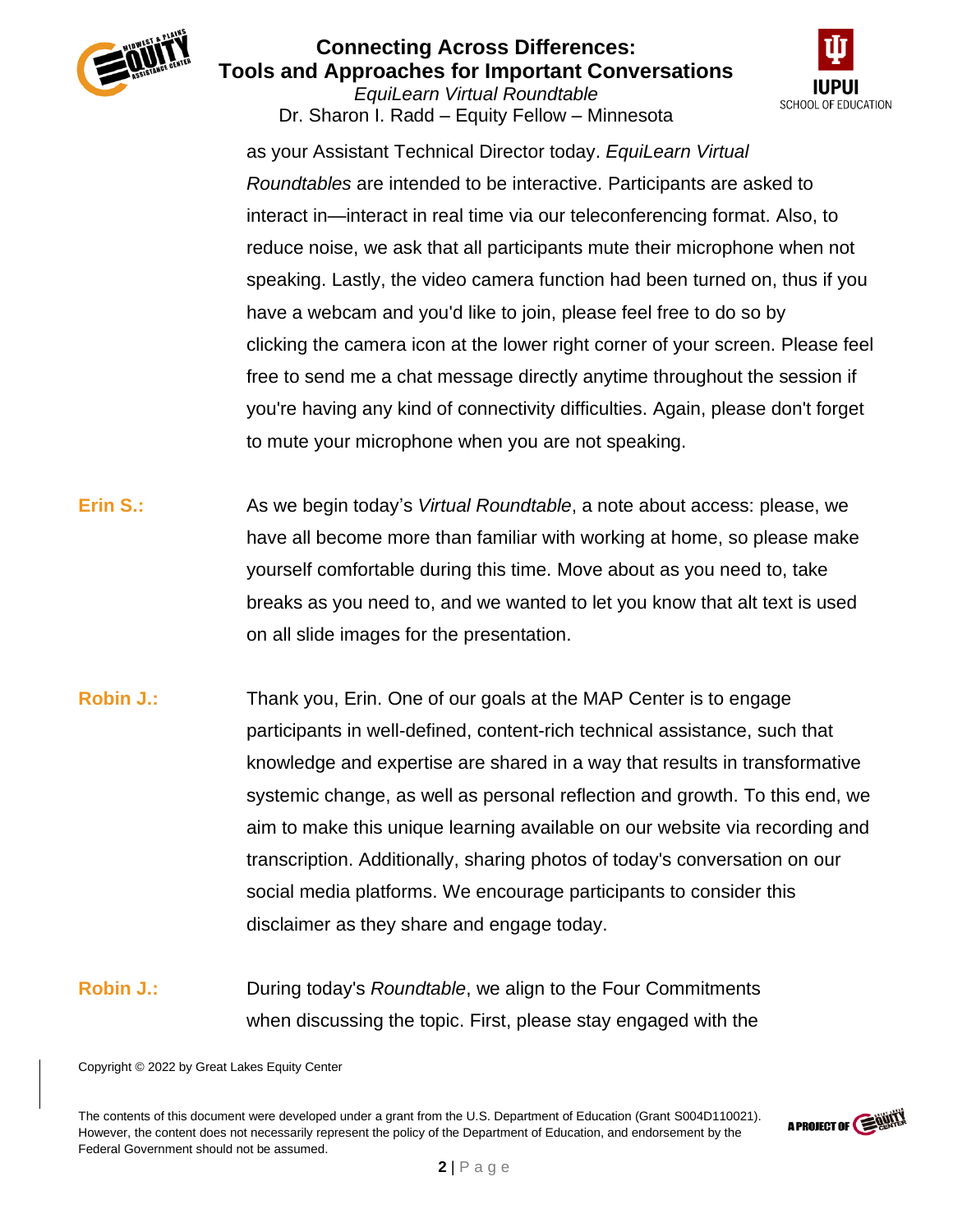

*EquiLearn Virtual Roundtable* Dr. Sharon I. Radd – Equity Fellow – Minnesota



as your Assistant Technical Director today. *EquiLearn Virtual Roundtables* are intended to be interactive. Participants are asked to interact in—interact in real time via our teleconferencing format. Also, to reduce noise, we ask that all participants mute their microphone when not speaking. Lastly, the video camera function had been turned on, thus if you have a webcam and you'd like to join, please feel free to do so by clicking the camera icon at the lower right corner of your screen. Please feel free to send me a chat message directly anytime throughout the session if you're having any kind of connectivity difficulties. Again, please don't forget to mute your microphone when you are not speaking.

- **Erin S.:** As we begin today's *Virtual Roundtable*, a note about access: please, we have all become more than familiar with working at home, so please make yourself comfortable during this time. Move about as you need to, take breaks as you need to, and we wanted to let you know that alt text is used on all slide images for the presentation.
- **Robin J.:** Thank you, Erin. One of our goals at the MAP Center is to engage participants in well-defined, content-rich technical assistance, such that knowledge and expertise are shared in a way that results in transformative systemic change, as well as personal reflection and growth. To this end, we aim to make this unique learning available on our website via recording and transcription. Additionally, sharing photos of today's conversation on our social media platforms. We encourage participants to consider this disclaimer as they share and engage today.
- **Robin J.:** During today's *Roundtable*, we align to the Four Commitments when discussing the topic. First, please stay engaged with the

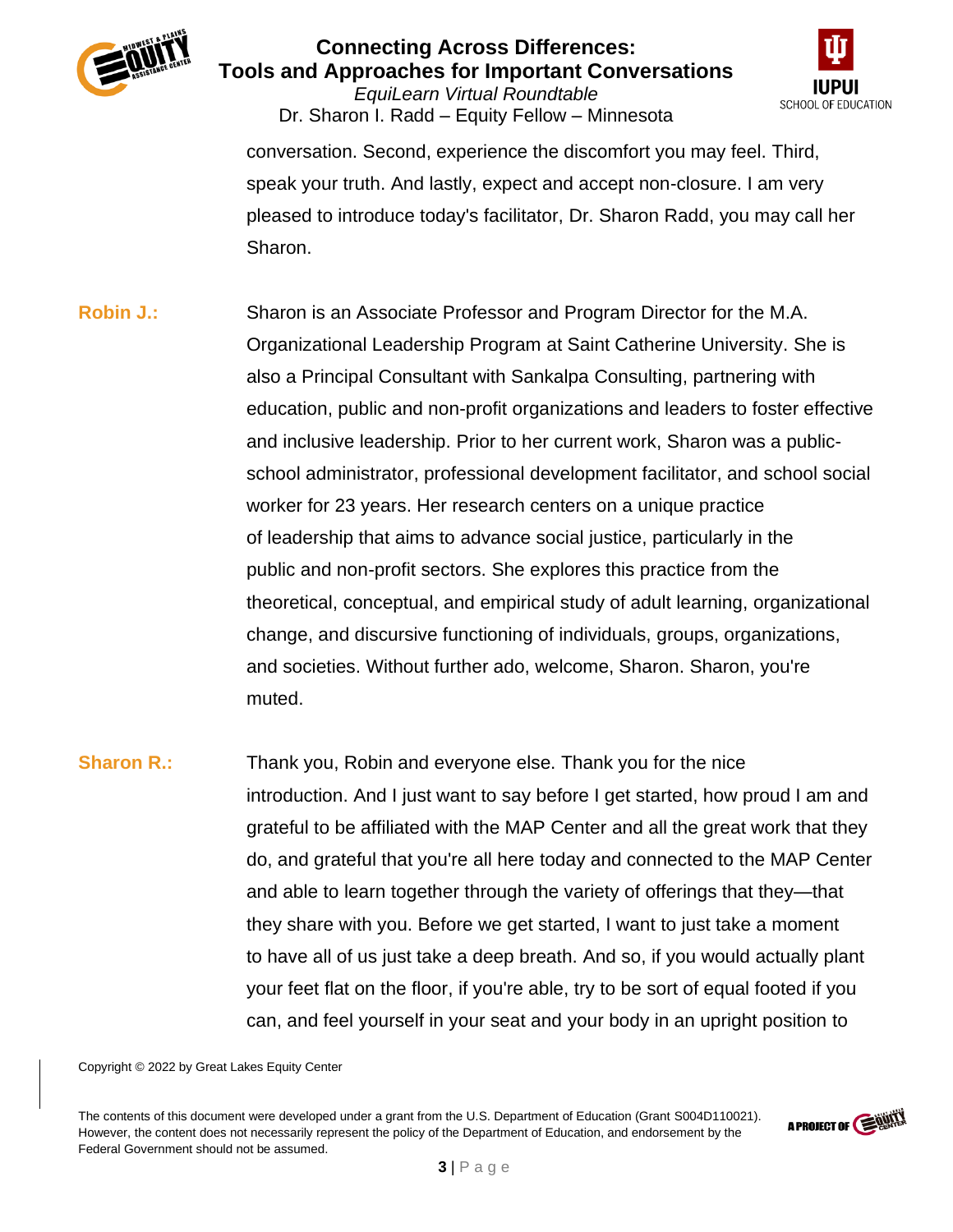

*EquiLearn Virtual Roundtable* Dr. Sharon I. Radd – Equity Fellow – Minnesota



conversation. Second, experience the discomfort you may feel. Third, speak your truth. And lastly, expect and accept non-closure. I am very pleased to introduce today's facilitator, Dr. Sharon Radd, you may call her Sharon.

- **Robin J.:** Sharon is an Associate Professor and Program Director for the M.A. Organizational Leadership Program at Saint Catherine University. She is also a Principal Consultant with Sankalpa Consulting, partnering with education, public and non-profit organizations and leaders to foster effective and inclusive leadership. Prior to her current work, Sharon was a publicschool administrator, professional development facilitator, and school social worker for 23 years. Her research centers on a unique practice of leadership that aims to advance social justice, particularly in the public and non-profit sectors. She explores this practice from the theoretical, conceptual, and empirical study of adult learning, organizational change, and discursive functioning of individuals, groups, organizations, and societies. Without further ado, welcome, Sharon. Sharon, you're muted.
- **Sharon R.:** Thank you, Robin and everyone else. Thank you for the nice introduction. And I just want to say before I get started, how proud I am and grateful to be affiliated with the MAP Center and all the great work that they do, and grateful that you're all here today and connected to the MAP Center and able to learn together through the variety of offerings that they—that they share with you. Before we get started, I want to just take a moment to have all of us just take a deep breath. And so, if you would actually plant your feet flat on the floor, if you're able, try to be sort of equal footed if you can, and feel yourself in your seat and your body in an upright position to

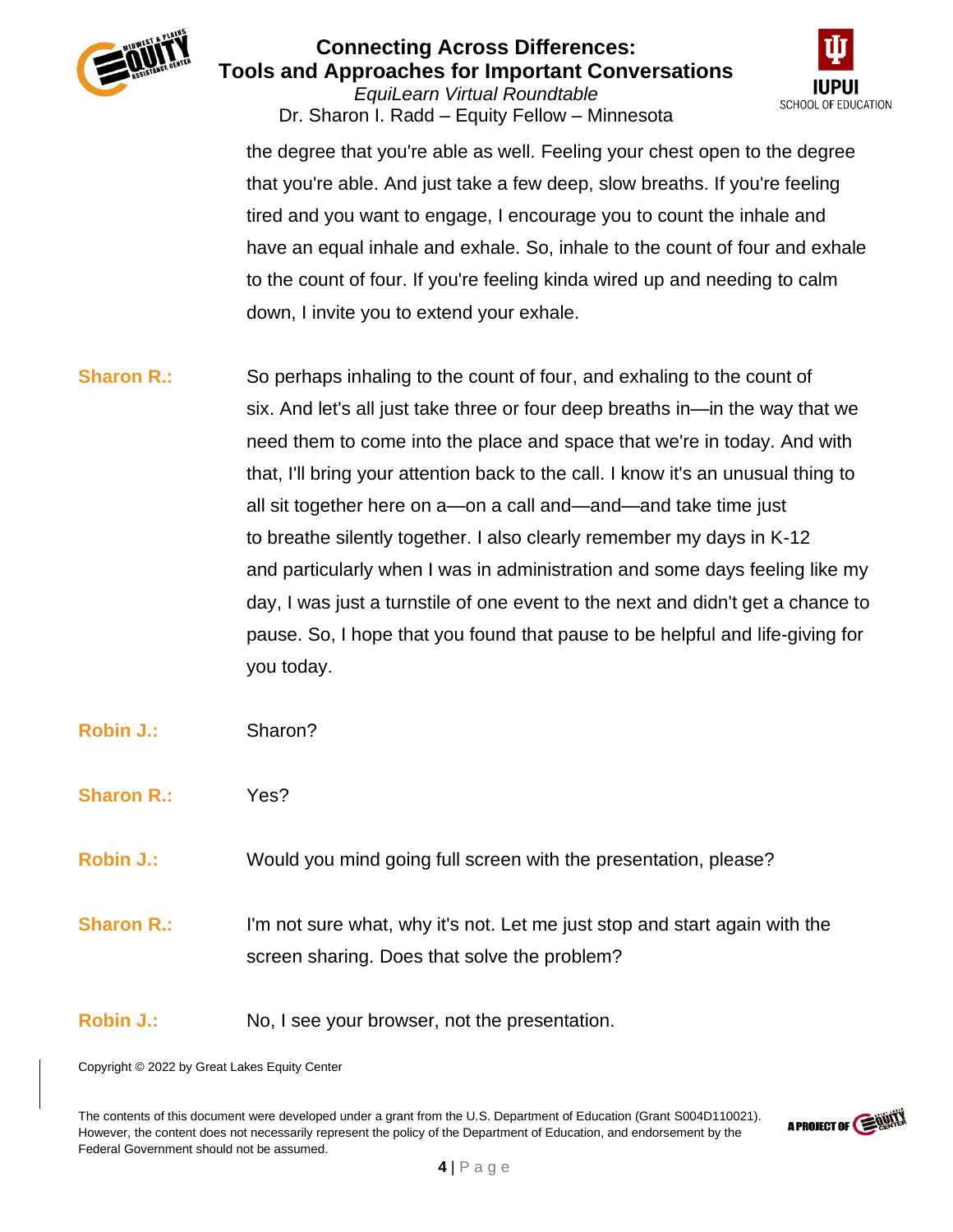

*EquiLearn Virtual Roundtable* Dr. Sharon I. Radd – Equity Fellow – Minnesota



the degree that you're able as well. Feeling your chest open to the degree that you're able. And just take a few deep, slow breaths. If you're feeling tired and you want to engage, I encourage you to count the inhale and have an equal inhale and exhale. So, inhale to the count of four and exhale to the count of four. If you're feeling kinda wired up and needing to calm down, I invite you to extend your exhale.

- **Sharon R.:** So perhaps inhaling to the count of four, and exhaling to the count of six. And let's all just take three or four deep breaths in—in the way that we need them to come into the place and space that we're in today. And with that, I'll bring your attention back to the call. I know it's an unusual thing to all sit together here on a—on a call and—and—and take time just to breathe silently together. I also clearly remember my days in K-12 and particularly when I was in administration and some days feeling like my day, I was just a turnstile of one event to the next and didn't get a chance to pause. So, I hope that you found that pause to be helpful and life-giving for you today.
- **Robin J.:** Sharon?
- **Sharon R.:** Yes?
- **Robin J.:** Would you mind going full screen with the presentation, please?
- **Sharon R.:** I'm not sure what, why it's not. Let me just stop and start again with the screen sharing. Does that solve the problem?
- **Robin J.:** No, I see your browser, not the presentation.

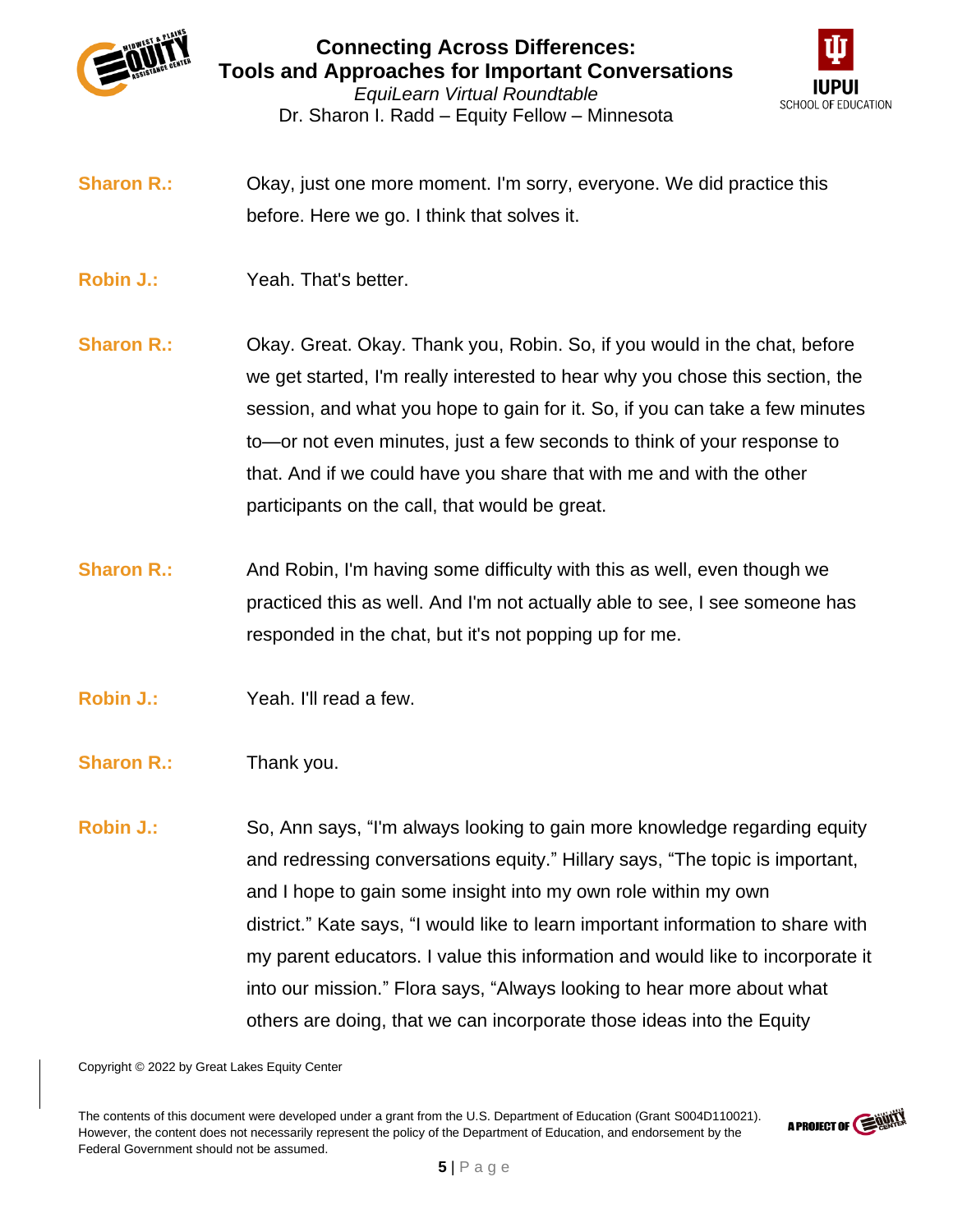

Dr. Sharon I. Radd – Equity Fellow – Minnesota



**Sharon R.:** Okay, just one more moment. I'm sorry, everyone. We did practice this before. Here we go. I think that solves it.

- **Robin J.:** Yeah. That's better.
- **Sharon R.:** Okay. Great. Okay. Thank you, Robin. So, if you would in the chat, before we get started, I'm really interested to hear why you chose this section, the session, and what you hope to gain for it. So, if you can take a few minutes to—or not even minutes, just a few seconds to think of your response to that. And if we could have you share that with me and with the other participants on the call, that would be great.
- **Sharon R.:** And Robin, I'm having some difficulty with this as well, even though we practiced this as well. And I'm not actually able to see, I see someone has responded in the chat, but it's not popping up for me.
- **Robin J.:** Yeah. I'll read a few.
- **Sharon R.:** Thank you.
- **Robin J.:** So, Ann says, "I'm always looking to gain more knowledge regarding equity and redressing conversations equity." Hillary says, "The topic is important, and I hope to gain some insight into my own role within my own district." Kate says, "I would like to learn important information to share with my parent educators. I value this information and would like to incorporate it into our mission." Flora says, "Always looking to hear more about what others are doing, that we can incorporate those ideas into the Equity

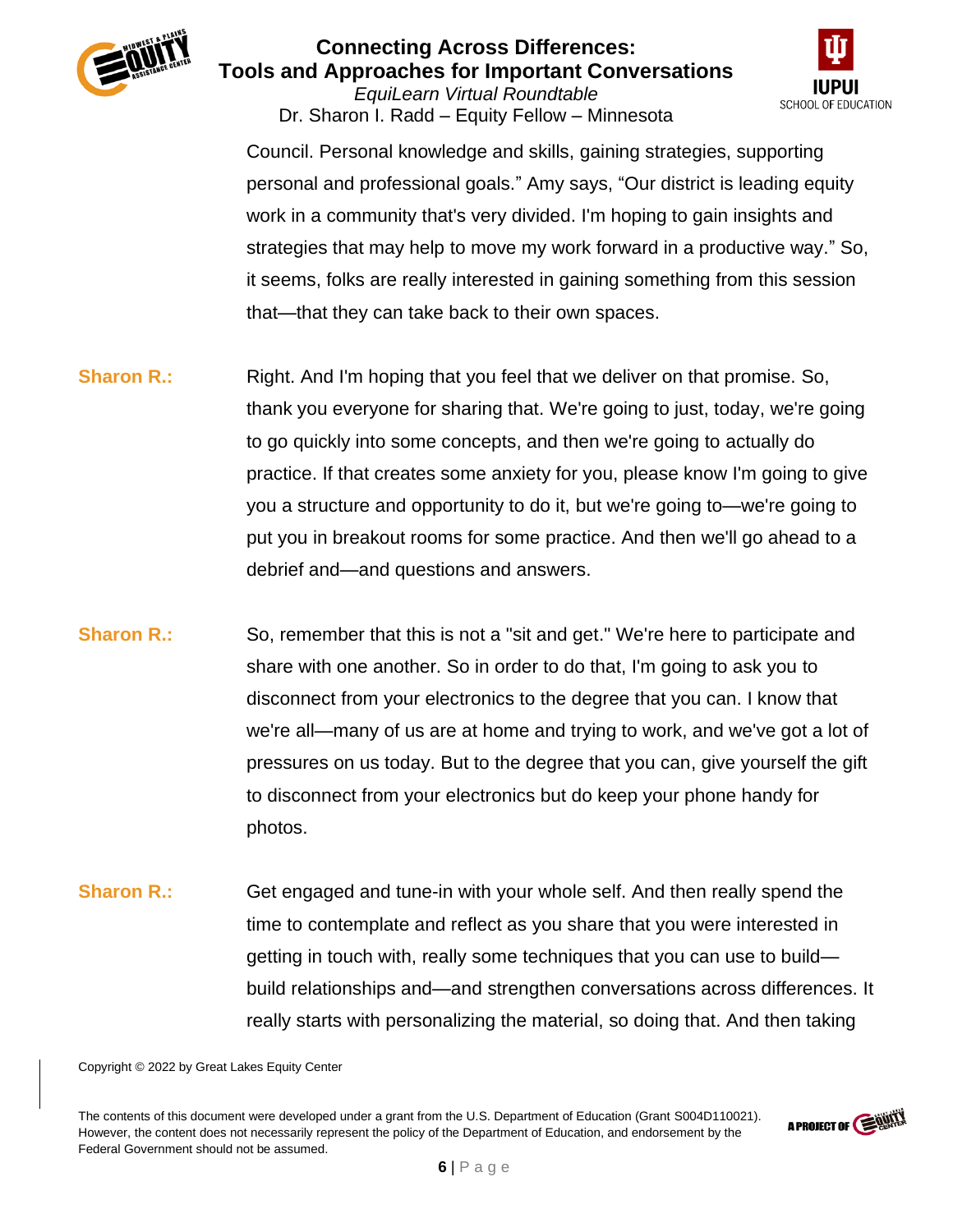

*EquiLearn Virtual Roundtable* Dr. Sharon I. Radd – Equity Fellow – Minnesota



Council. Personal knowledge and skills, gaining strategies, supporting personal and professional goals." Amy says, "Our district is leading equity work in a community that's very divided. I'm hoping to gain insights and strategies that may help to move my work forward in a productive way." So, it seems, folks are really interested in gaining something from this session that—that they can take back to their own spaces.

- **Sharon R.:** Right. And I'm hoping that you feel that we deliver on that promise. So, thank you everyone for sharing that. We're going to just, today, we're going to go quickly into some concepts, and then we're going to actually do practice. If that creates some anxiety for you, please know I'm going to give you a structure and opportunity to do it, but we're going to—we're going to put you in breakout rooms for some practice. And then we'll go ahead to a debrief and—and questions and answers.
- **Sharon R.:** So, remember that this is not a "sit and get." We're here to participate and share with one another. So in order to do that, I'm going to ask you to disconnect from your electronics to the degree that you can. I know that we're all—many of us are at home and trying to work, and we've got a lot of pressures on us today. But to the degree that you can, give yourself the gift to disconnect from your electronics but do keep your phone handy for photos.
- **Sharon R.:** Get engaged and tune-in with your whole self. And then really spend the time to contemplate and reflect as you share that you were interested in getting in touch with, really some techniques that you can use to build build relationships and—and strengthen conversations across differences. It really starts with personalizing the material, so doing that. And then taking

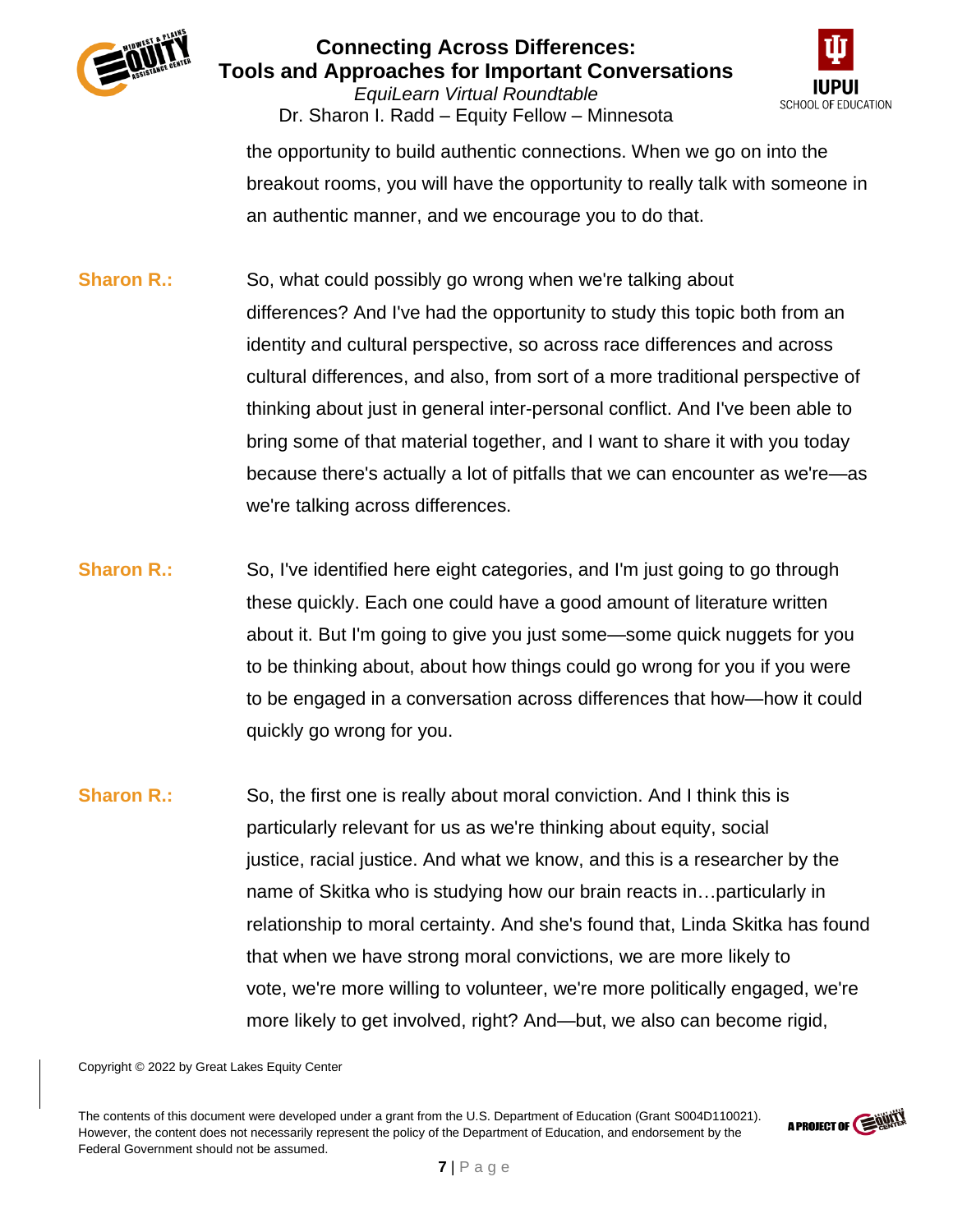

*EquiLearn Virtual Roundtable* Dr. Sharon I. Radd – Equity Fellow – Minnesota



the opportunity to build authentic connections. When we go on into the breakout rooms, you will have the opportunity to really talk with someone in an authentic manner, and we encourage you to do that.

- **Sharon R.:** So, what could possibly go wrong when we're talking about differences? And I've had the opportunity to study this topic both from an identity and cultural perspective, so across race differences and across cultural differences, and also, from sort of a more traditional perspective of thinking about just in general inter-personal conflict. And I've been able to bring some of that material together, and I want to share it with you today because there's actually a lot of pitfalls that we can encounter as we're—as we're talking across differences.
- **Sharon R.:** So, I've identified here eight categories, and I'm just going to go through these quickly. Each one could have a good amount of literature written about it. But I'm going to give you just some—some quick nuggets for you to be thinking about, about how things could go wrong for you if you were to be engaged in a conversation across differences that how—how it could quickly go wrong for you.
- **Sharon R.:** So, the first one is really about moral conviction. And I think this is particularly relevant for us as we're thinking about equity, social justice, racial justice. And what we know, and this is a researcher by the name of Skitka who is studying how our brain reacts in…particularly in relationship to moral certainty. And she's found that, Linda Skitka has found that when we have strong moral convictions, we are more likely to vote, we're more willing to volunteer, we're more politically engaged, we're more likely to get involved, right? And—but, we also can become rigid,

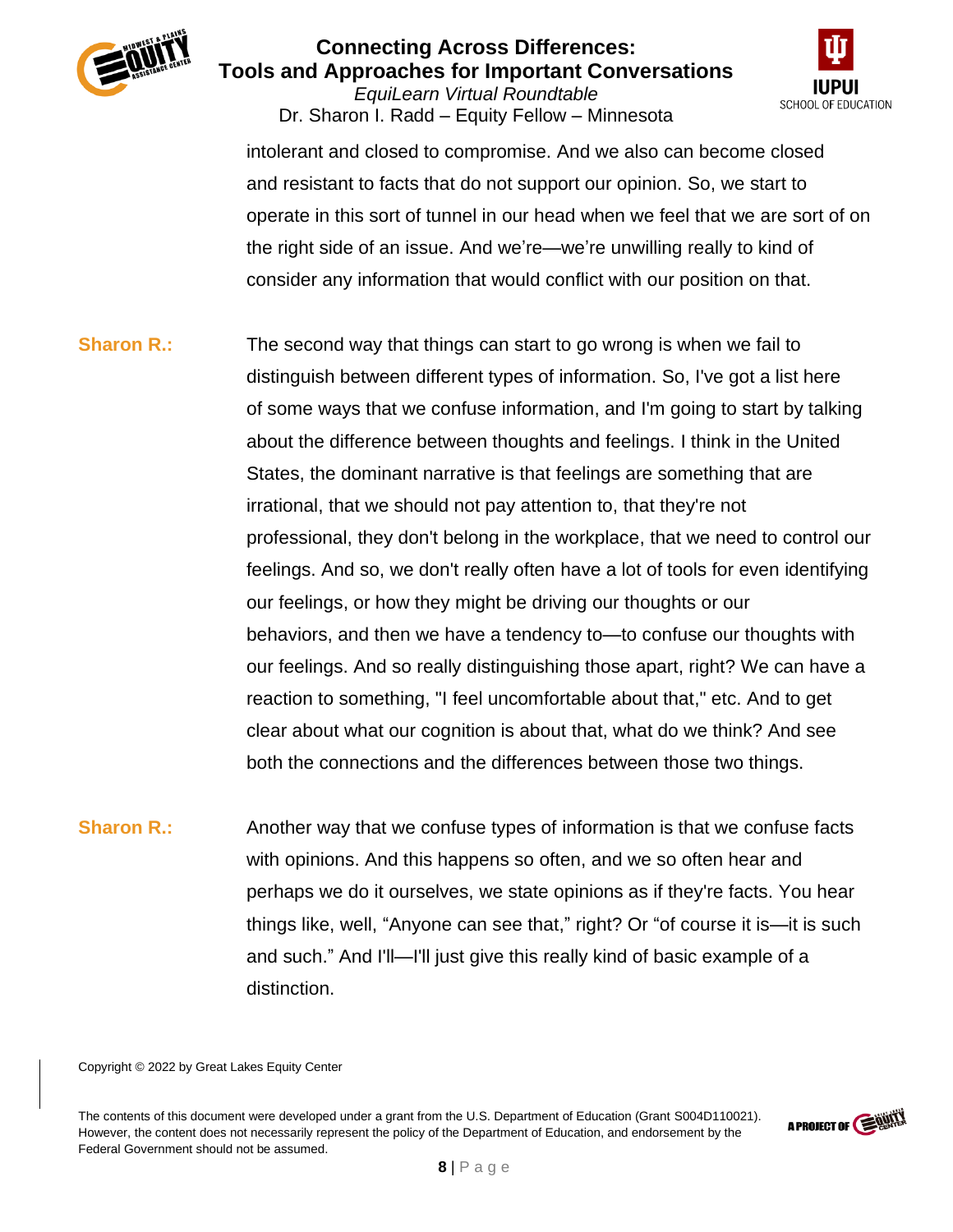

*EquiLearn Virtual Roundtable* Dr. Sharon I. Radd – Equity Fellow – Minnesota



intolerant and closed to compromise. And we also can become closed and resistant to facts that do not support our opinion. So, we start to operate in this sort of tunnel in our head when we feel that we are sort of on the right side of an issue. And we're—we're unwilling really to kind of consider any information that would conflict with our position on that.

**Sharon R.:** The second way that things can start to go wrong is when we fail to distinguish between different types of information. So, I've got a list here of some ways that we confuse information, and I'm going to start by talking about the difference between thoughts and feelings. I think in the United States, the dominant narrative is that feelings are something that are irrational, that we should not pay attention to, that they're not professional, they don't belong in the workplace, that we need to control our feelings. And so, we don't really often have a lot of tools for even identifying our feelings, or how they might be driving our thoughts or our behaviors, and then we have a tendency to—to confuse our thoughts with our feelings. And so really distinguishing those apart, right? We can have a reaction to something, "I feel uncomfortable about that," etc. And to get clear about what our cognition is about that, what do we think? And see both the connections and the differences between those two things.

**Sharon R.:** Another way that we confuse types of information is that we confuse facts with opinions. And this happens so often, and we so often hear and perhaps we do it ourselves, we state opinions as if they're facts. You hear things like, well, "Anyone can see that," right? Or "of course it is—it is such and such." And I'll—I'll just give this really kind of basic example of a distinction.

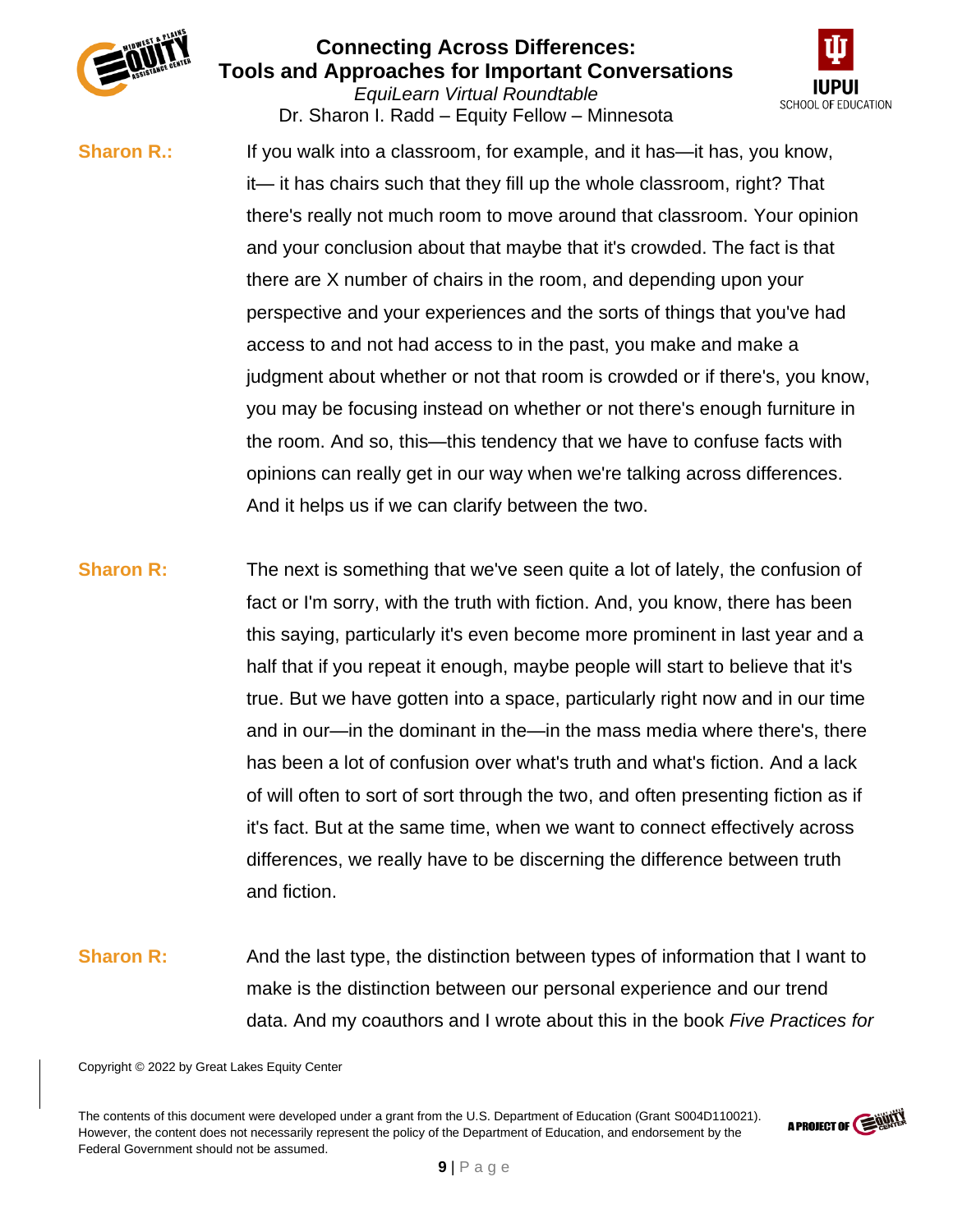

*EquiLearn Virtual Roundtable* Dr. Sharon I. Radd – Equity Fellow – Minnesota



**Sharon R.:** If you walk into a classroom, for example, and it has—it has, you know, it— it has chairs such that they fill up the whole classroom, right? That there's really not much room to move around that classroom. Your opinion and your conclusion about that maybe that it's crowded. The fact is that there are X number of chairs in the room, and depending upon your perspective and your experiences and the sorts of things that you've had access to and not had access to in the past, you make and make a judgment about whether or not that room is crowded or if there's, you know, you may be focusing instead on whether or not there's enough furniture in the room. And so, this—this tendency that we have to confuse facts with opinions can really get in our way when we're talking across differences. And it helps us if we can clarify between the two.

- **Sharon R:** The next is something that we've seen quite a lot of lately, the confusion of fact or I'm sorry, with the truth with fiction. And, you know, there has been this saying, particularly it's even become more prominent in last year and a half that if you repeat it enough, maybe people will start to believe that it's true. But we have gotten into a space, particularly right now and in our time and in our—in the dominant in the—in the mass media where there's, there has been a lot of confusion over what's truth and what's fiction. And a lack of will often to sort of sort through the two, and often presenting fiction as if it's fact. But at the same time, when we want to connect effectively across differences, we really have to be discerning the difference between truth and fiction.
- **Sharon R:** And the last type, the distinction between types of information that I want to make is the distinction between our personal experience and our trend data. And my coauthors and I wrote about this in the book *Five Practices for*

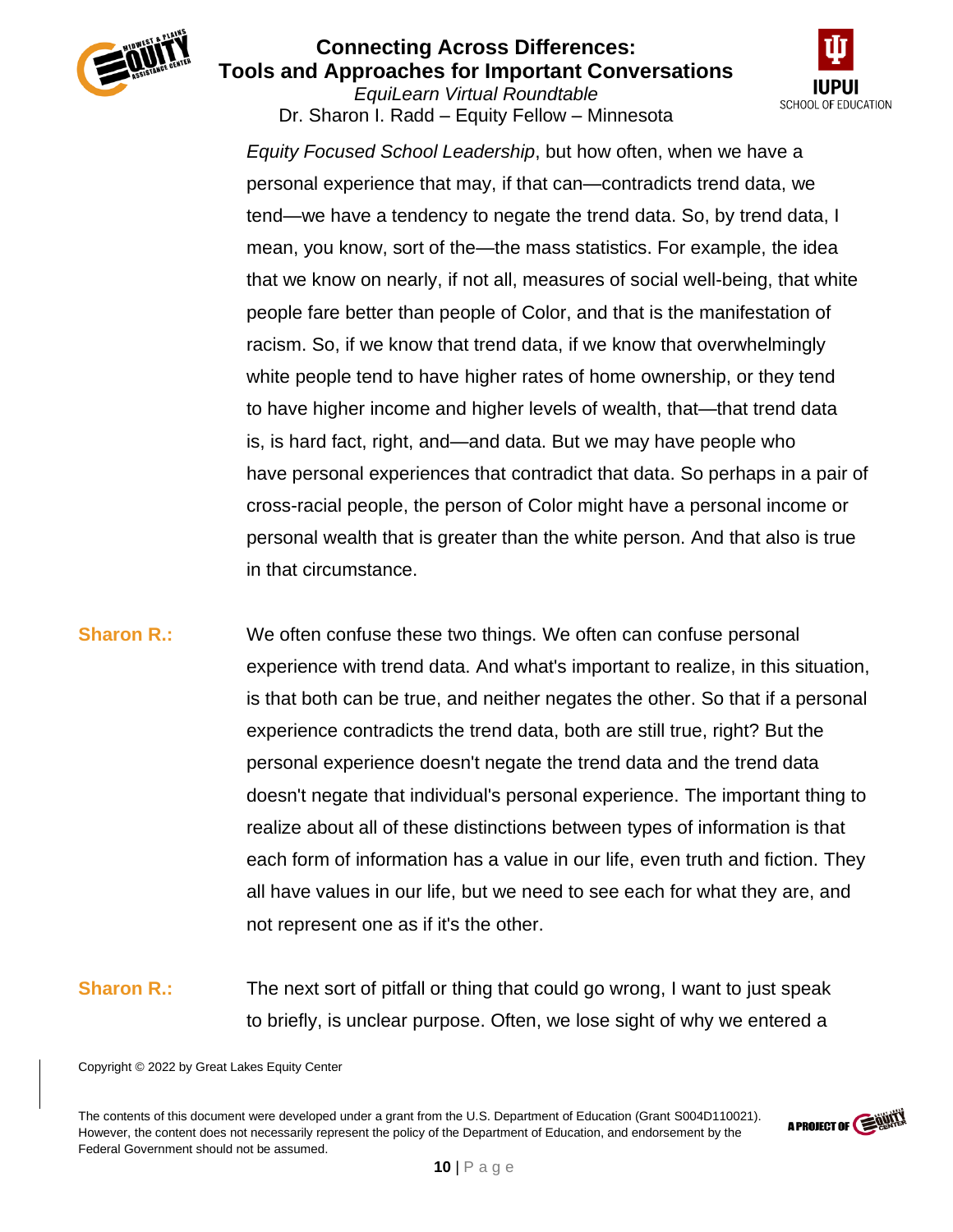

*EquiLearn Virtual Roundtable* Dr. Sharon I. Radd – Equity Fellow – Minnesota



*Equity Focused School Leadership*, but how often, when we have a personal experience that may, if that can—contradicts trend data, we tend—we have a tendency to negate the trend data. So, by trend data, I mean, you know, sort of the—the mass statistics. For example, the idea that we know on nearly, if not all, measures of social well-being, that white people fare better than people of Color, and that is the manifestation of racism. So, if we know that trend data, if we know that overwhelmingly white people tend to have higher rates of home ownership, or they tend to have higher income and higher levels of wealth, that—that trend data is, is hard fact, right, and—and data. But we may have people who have personal experiences that contradict that data. So perhaps in a pair of cross-racial people, the person of Color might have a personal income or personal wealth that is greater than the white person. And that also is true in that circumstance.

- **Sharon R.:** We often confuse these two things. We often can confuse personal experience with trend data. And what's important to realize, in this situation, is that both can be true, and neither negates the other. So that if a personal experience contradicts the trend data, both are still true, right? But the personal experience doesn't negate the trend data and the trend data doesn't negate that individual's personal experience. The important thing to realize about all of these distinctions between types of information is that each form of information has a value in our life, even truth and fiction. They all have values in our life, but we need to see each for what they are, and not represent one as if it's the other.
- **Sharon R.:** The next sort of pitfall or thing that could go wrong, I want to just speak to briefly, is unclear purpose. Often, we lose sight of why we entered a

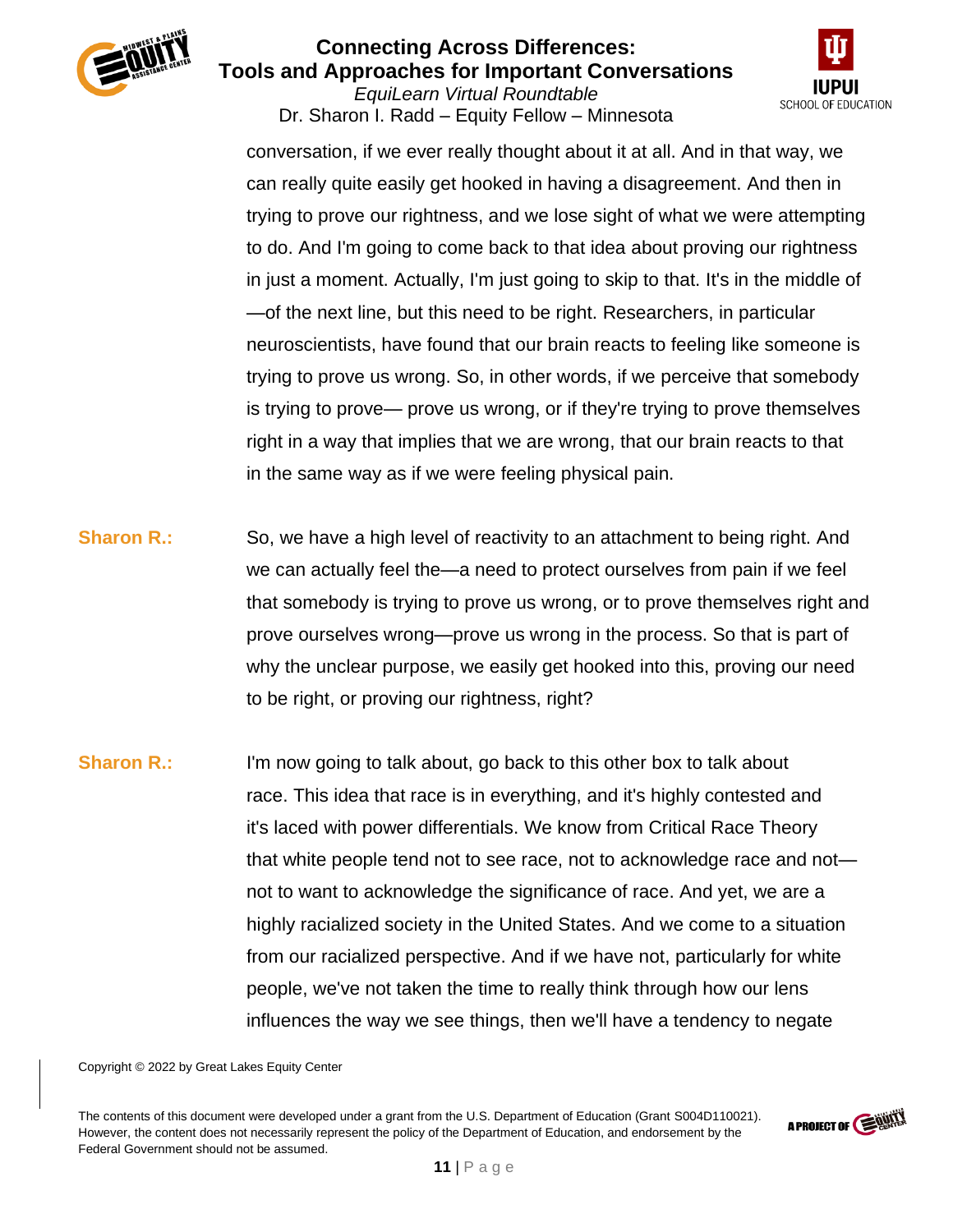

*EquiLearn Virtual Roundtable* Dr. Sharon I. Radd – Equity Fellow – Minnesota



conversation, if we ever really thought about it at all. And in that way, we can really quite easily get hooked in having a disagreement. And then in trying to prove our rightness, and we lose sight of what we were attempting to do. And I'm going to come back to that idea about proving our rightness in just a moment. Actually, I'm just going to skip to that. It's in the middle of —of the next line, but this need to be right. Researchers, in particular neuroscientists, have found that our brain reacts to feeling like someone is trying to prove us wrong. So, in other words, if we perceive that somebody is trying to prove— prove us wrong, or if they're trying to prove themselves right in a way that implies that we are wrong, that our brain reacts to that in the same way as if we were feeling physical pain.

- **Sharon R.:** So, we have a high level of reactivity to an attachment to being right. And we can actually feel the—a need to protect ourselves from pain if we feel that somebody is trying to prove us wrong, or to prove themselves right and prove ourselves wrong—prove us wrong in the process. So that is part of why the unclear purpose, we easily get hooked into this, proving our need to be right, or proving our rightness, right?
- **Sharon R.:** I'm now going to talk about, go back to this other box to talk about race. This idea that race is in everything, and it's highly contested and it's laced with power differentials. We know from Critical Race Theory that white people tend not to see race, not to acknowledge race and not not to want to acknowledge the significance of race. And yet, we are a highly racialized society in the United States. And we come to a situation from our racialized perspective. And if we have not, particularly for white people, we've not taken the time to really think through how our lens influences the way we see things, then we'll have a tendency to negate

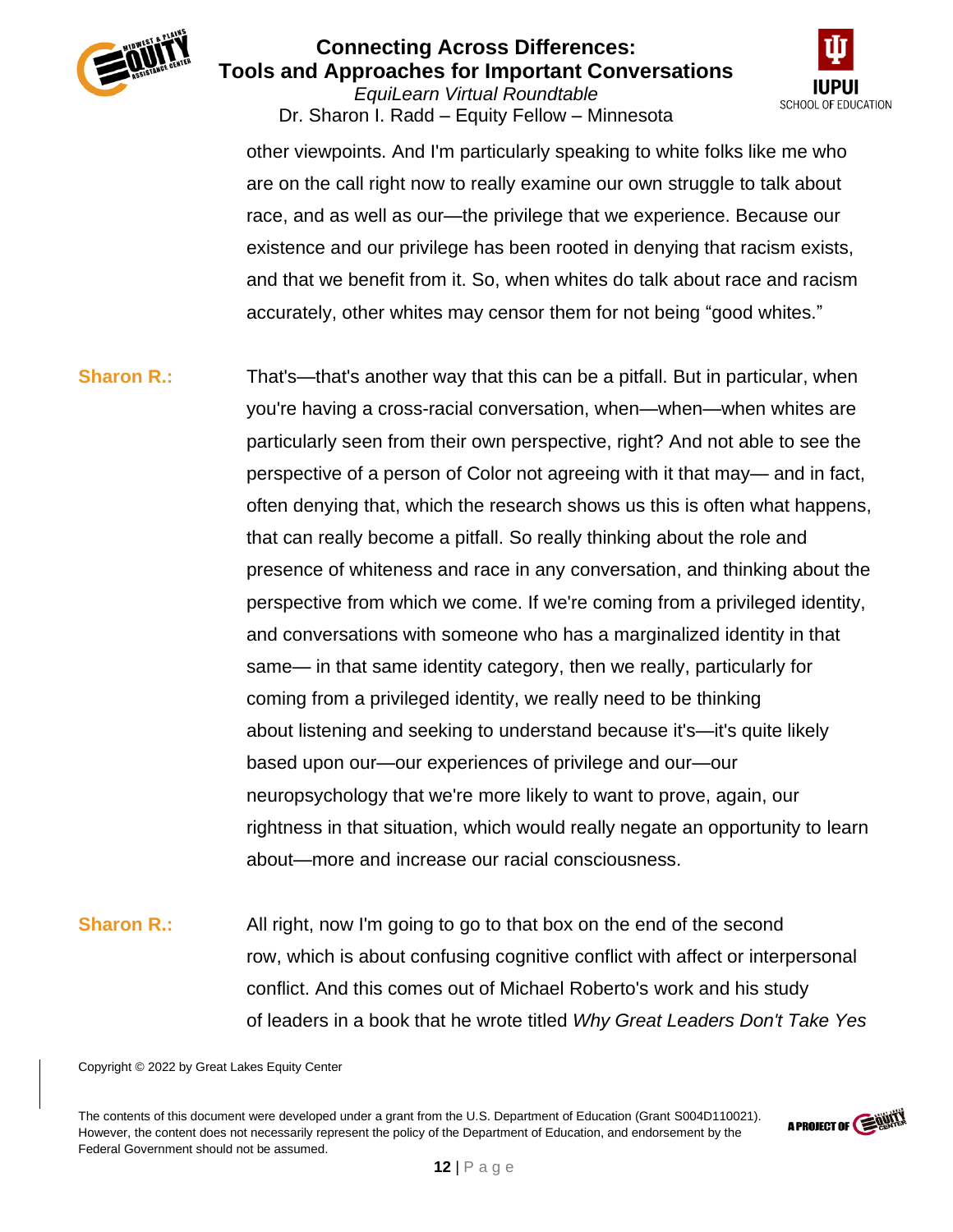

### **Connecting Across Differences: Tools and Approaches for Important Conversations** *EquiLearn Virtual Roundtable*

Dr. Sharon I. Radd – Equity Fellow – Minnesota



other viewpoints. And I'm particularly speaking to white folks like me who are on the call right now to really examine our own struggle to talk about race, and as well as our—the privilege that we experience. Because our existence and our privilege has been rooted in denying that racism exists, and that we benefit from it. So, when whites do talk about race and racism accurately, other whites may censor them for not being "good whites."

# **Sharon R.:** That's—that's another way that this can be a pitfall. But in particular, when you're having a cross-racial conversation, when—when—when whites are particularly seen from their own perspective, right? And not able to see the perspective of a person of Color not agreeing with it that may— and in fact, often denying that, which the research shows us this is often what happens, that can really become a pitfall. So really thinking about the role and presence of whiteness and race in any conversation, and thinking about the perspective from which we come. If we're coming from a privileged identity, and conversations with someone who has a marginalized identity in that same— in that same identity category, then we really, particularly for coming from a privileged identity, we really need to be thinking about listening and seeking to understand because it's—it's quite likely based upon our—our experiences of privilege and our—our neuropsychology that we're more likely to want to prove, again, our rightness in that situation, which would really negate an opportunity to learn about—more and increase our racial consciousness.

**Sharon R.:** All right, now I'm going to go to that box on the end of the second row, which is about confusing cognitive conflict with affect or interpersonal conflict. And this comes out of Michael Roberto's work and his study of leaders in a book that he wrote titled *Why Great Leaders Don't Take Yes* 

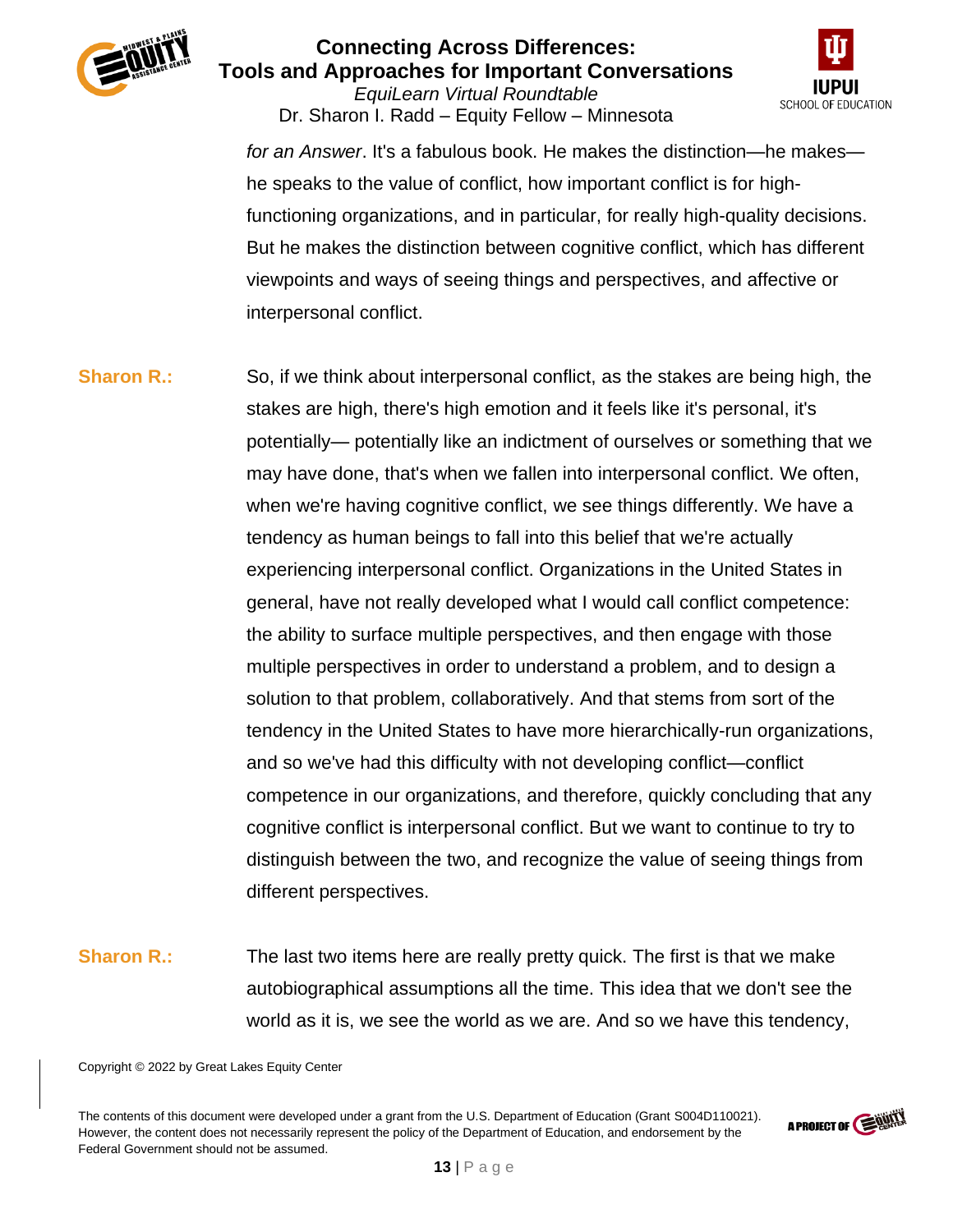

*EquiLearn Virtual Roundtable* Dr. Sharon I. Radd – Equity Fellow – Minnesota



*for an Answer*. It's a fabulous book. He makes the distinction—he makes he speaks to the value of conflict, how important conflict is for highfunctioning organizations, and in particular, for really high-quality decisions. But he makes the distinction between cognitive conflict, which has different viewpoints and ways of seeing things and perspectives, and affective or interpersonal conflict.

**Sharon R.:** So, if we think about interpersonal conflict, as the stakes are being high, the stakes are high, there's high emotion and it feels like it's personal, it's potentially— potentially like an indictment of ourselves or something that we may have done, that's when we fallen into interpersonal conflict. We often, when we're having cognitive conflict, we see things differently. We have a tendency as human beings to fall into this belief that we're actually experiencing interpersonal conflict. Organizations in the United States in general, have not really developed what I would call conflict competence: the ability to surface multiple perspectives, and then engage with those multiple perspectives in order to understand a problem, and to design a solution to that problem, collaboratively. And that stems from sort of the tendency in the United States to have more hierarchically-run organizations, and so we've had this difficulty with not developing conflict—conflict competence in our organizations, and therefore, quickly concluding that any cognitive conflict is interpersonal conflict. But we want to continue to try to distinguish between the two, and recognize the value of seeing things from different perspectives.

**Sharon R.:** The last two items here are really pretty quick. The first is that we make autobiographical assumptions all the time. This idea that we don't see the world as it is, we see the world as we are. And so we have this tendency,

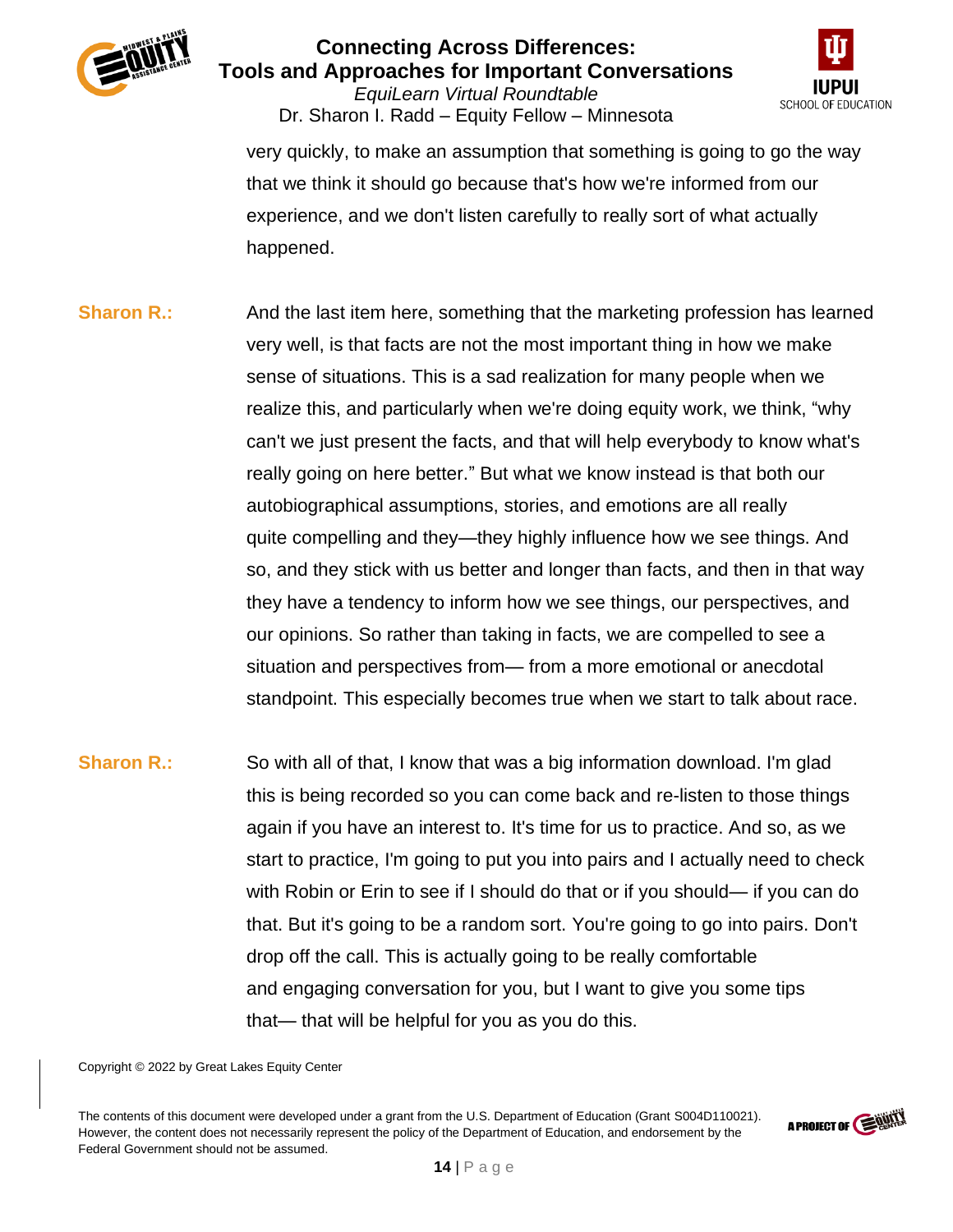

*EquiLearn Virtual Roundtable* Dr. Sharon I. Radd – Equity Fellow – Minnesota



very quickly, to make an assumption that something is going to go the way that we think it should go because that's how we're informed from our experience, and we don't listen carefully to really sort of what actually happened.

- **Sharon R.:** And the last item here, something that the marketing profession has learned very well, is that facts are not the most important thing in how we make sense of situations. This is a sad realization for many people when we realize this, and particularly when we're doing equity work, we think, "why can't we just present the facts, and that will help everybody to know what's really going on here better." But what we know instead is that both our autobiographical assumptions, stories, and emotions are all really quite compelling and they—they highly influence how we see things. And so, and they stick with us better and longer than facts, and then in that way they have a tendency to inform how we see things, our perspectives, and our opinions. So rather than taking in facts, we are compelled to see a situation and perspectives from— from a more emotional or anecdotal standpoint. This especially becomes true when we start to talk about race.
- **Sharon R.:** So with all of that, I know that was a big information download. I'm glad this is being recorded so you can come back and re-listen to those things again if you have an interest to. It's time for us to practice. And so, as we start to practice, I'm going to put you into pairs and I actually need to check with Robin or Erin to see if I should do that or if you should— if you can do that. But it's going to be a random sort. You're going to go into pairs. Don't drop off the call. This is actually going to be really comfortable and engaging conversation for you, but I want to give you some tips that— that will be helpful for you as you do this.

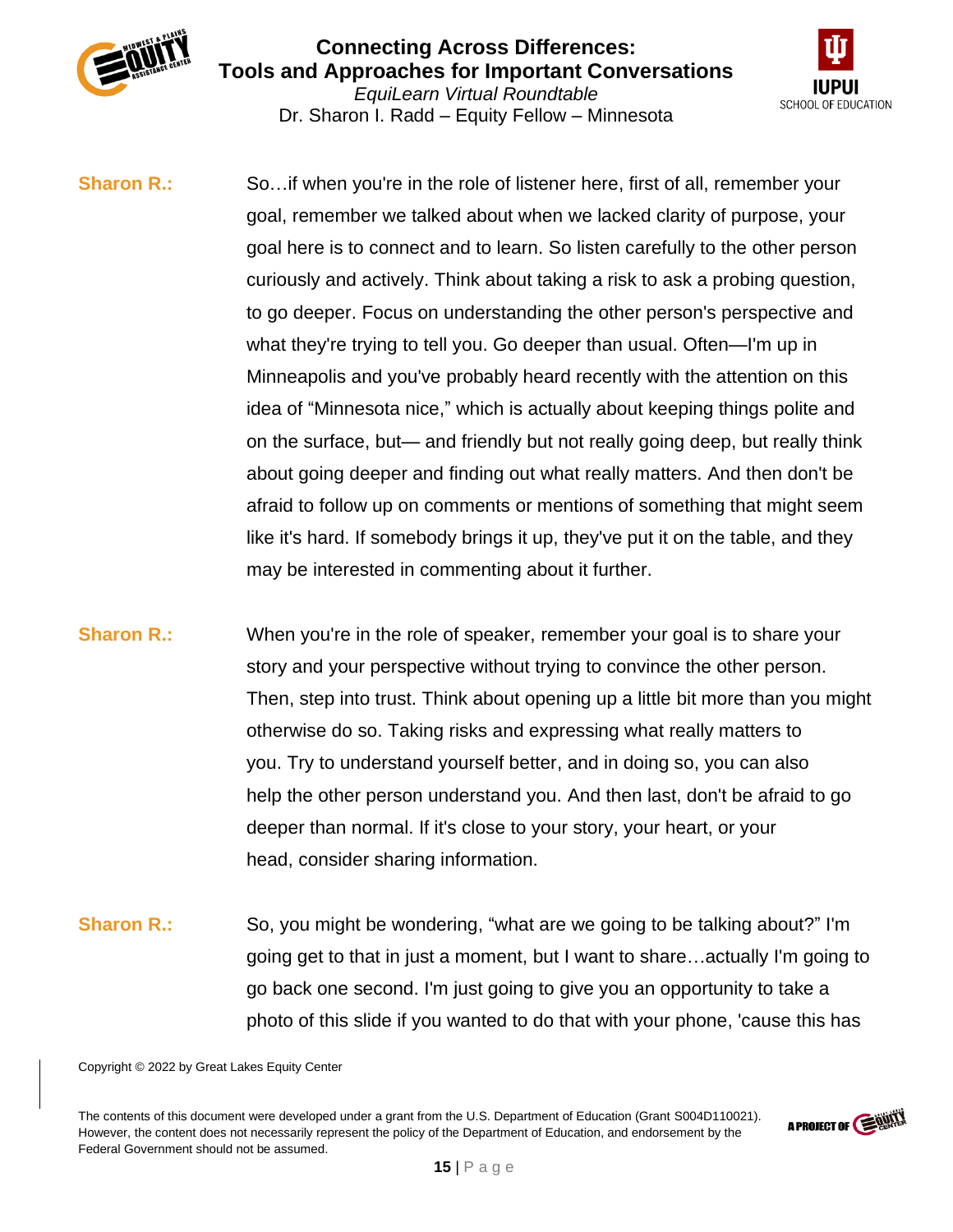



**Sharon R.:** So...if when you're in the role of listener here, first of all, remember your goal, remember we talked about when we lacked clarity of purpose, your goal here is to connect and to learn. So listen carefully to the other person curiously and actively. Think about taking a risk to ask a probing question, to go deeper. Focus on understanding the other person's perspective and what they're trying to tell you. Go deeper than usual. Often—I'm up in Minneapolis and you've probably heard recently with the attention on this idea of "Minnesota nice," which is actually about keeping things polite and on the surface, but— and friendly but not really going deep, but really think about going deeper and finding out what really matters. And then don't be afraid to follow up on comments or mentions of something that might seem like it's hard. If somebody brings it up, they've put it on the table, and they may be interested in commenting about it further.

- **Sharon R.:** When you're in the role of speaker, remember your goal is to share your story and your perspective without trying to convince the other person. Then, step into trust. Think about opening up a little bit more than you might otherwise do so. Taking risks and expressing what really matters to you. Try to understand yourself better, and in doing so, you can also help the other person understand you. And then last, don't be afraid to go deeper than normal. If it's close to your story, your heart, or your head, consider sharing information.
- **Sharon R.:** So, you might be wondering, "what are we going to be talking about?" I'm going get to that in just a moment, but I want to share…actually I'm going to go back one second. I'm just going to give you an opportunity to take a photo of this slide if you wanted to do that with your phone, 'cause this has

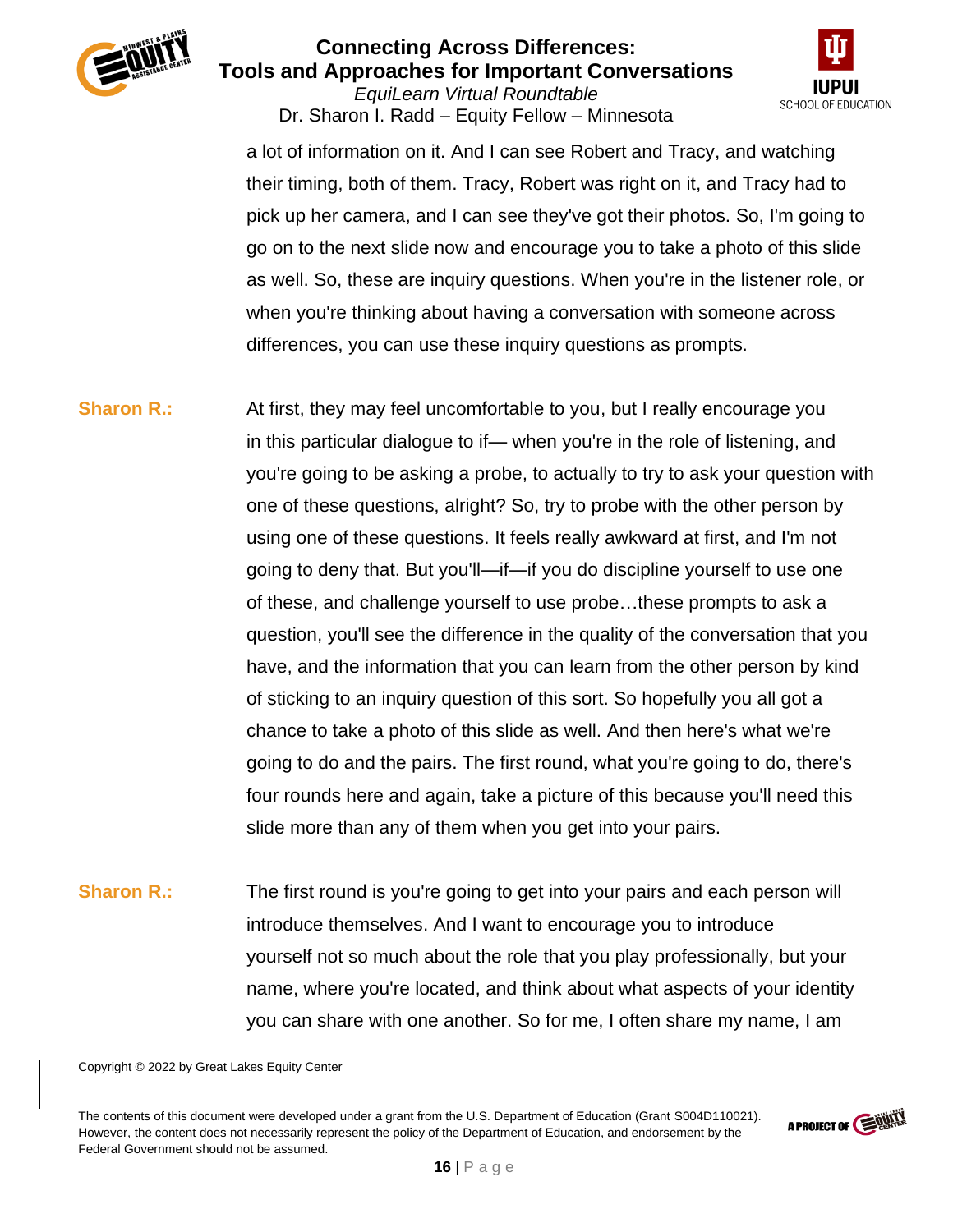

*EquiLearn Virtual Roundtable* Dr. Sharon I. Radd – Equity Fellow – Minnesota



a lot of information on it. And I can see Robert and Tracy, and watching their timing, both of them. Tracy, Robert was right on it, and Tracy had to pick up her camera, and I can see they've got their photos. So, I'm going to go on to the next slide now and encourage you to take a photo of this slide as well. So, these are inquiry questions. When you're in the listener role, or when you're thinking about having a conversation with someone across differences, you can use these inquiry questions as prompts.

**Sharon R.:** At first, they may feel uncomfortable to you, but I really encourage you in this particular dialogue to if— when you're in the role of listening, and you're going to be asking a probe, to actually to try to ask your question with one of these questions, alright? So, try to probe with the other person by using one of these questions. It feels really awkward at first, and I'm not going to deny that. But you'll—if—if you do discipline yourself to use one of these, and challenge yourself to use probe…these prompts to ask a question, you'll see the difference in the quality of the conversation that you have, and the information that you can learn from the other person by kind of sticking to an inquiry question of this sort. So hopefully you all got a chance to take a photo of this slide as well. And then here's what we're going to do and the pairs. The first round, what you're going to do, there's four rounds here and again, take a picture of this because you'll need this slide more than any of them when you get into your pairs.

**Sharon R.:** The first round is you're going to get into your pairs and each person will introduce themselves. And I want to encourage you to introduce yourself not so much about the role that you play professionally, but your name, where you're located, and think about what aspects of your identity you can share with one another. So for me, I often share my name, I am

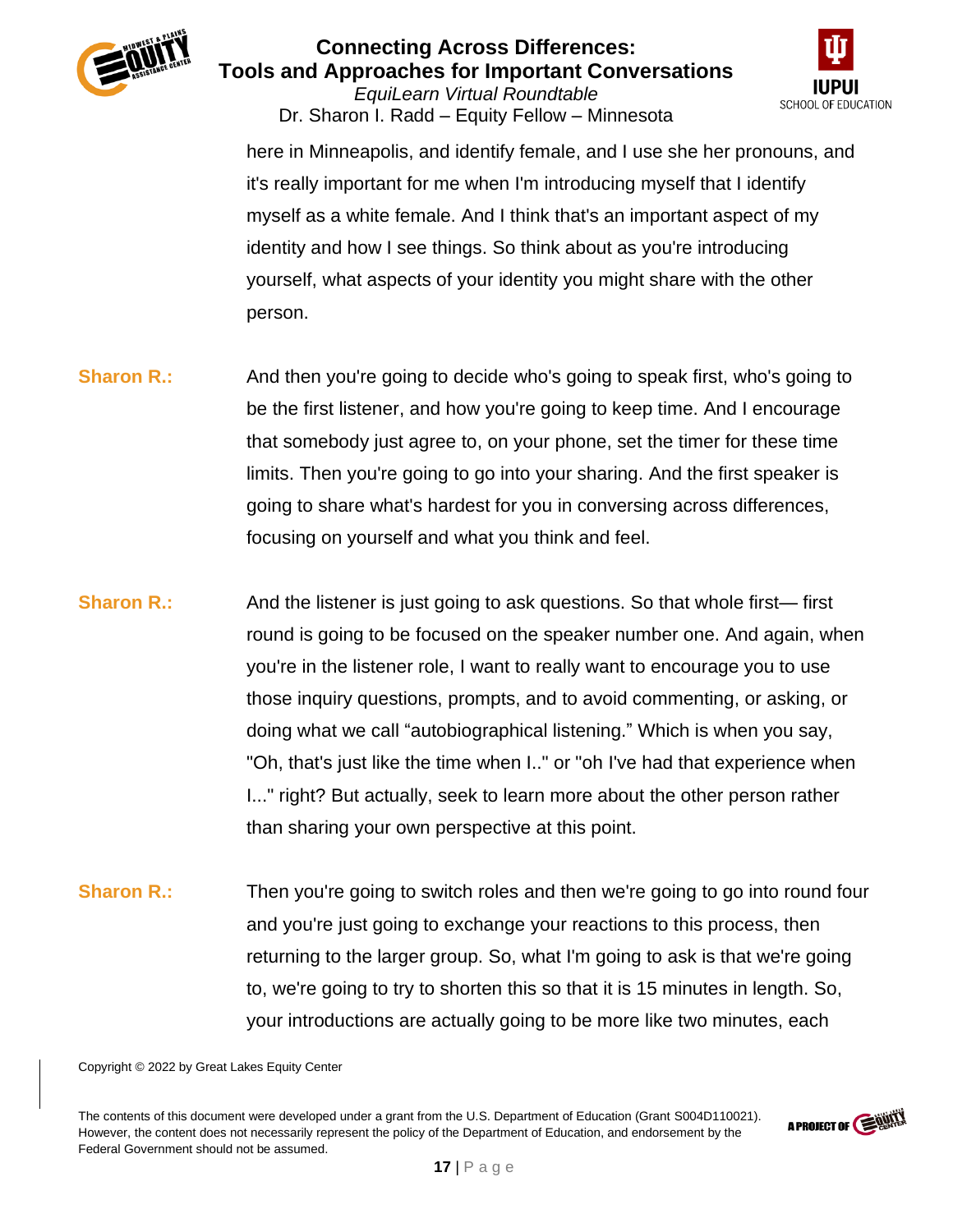

*EquiLearn Virtual Roundtable* Dr. Sharon I. Radd – Equity Fellow – Minnesota



here in Minneapolis, and identify female, and I use she her pronouns, and it's really important for me when I'm introducing myself that I identify myself as a white female. And I think that's an important aspect of my identity and how I see things. So think about as you're introducing yourself, what aspects of your identity you might share with the other person.

- **Sharon R.:** And then you're going to decide who's going to speak first, who's going to be the first listener, and how you're going to keep time. And I encourage that somebody just agree to, on your phone, set the timer for these time limits. Then you're going to go into your sharing. And the first speaker is going to share what's hardest for you in conversing across differences, focusing on yourself and what you think and feel.
- **Sharon R.:** And the listener is just going to ask questions. So that whole first— first round is going to be focused on the speaker number one. And again, when you're in the listener role, I want to really want to encourage you to use those inquiry questions, prompts, and to avoid commenting, or asking, or doing what we call "autobiographical listening." Which is when you say, "Oh, that's just like the time when I.." or "oh I've had that experience when I..." right? But actually, seek to learn more about the other person rather than sharing your own perspective at this point.
- **Sharon R.:** Then you're going to switch roles and then we're going to go into round four and you're just going to exchange your reactions to this process, then returning to the larger group. So, what I'm going to ask is that we're going to, we're going to try to shorten this so that it is 15 minutes in length. So, your introductions are actually going to be more like two minutes, each

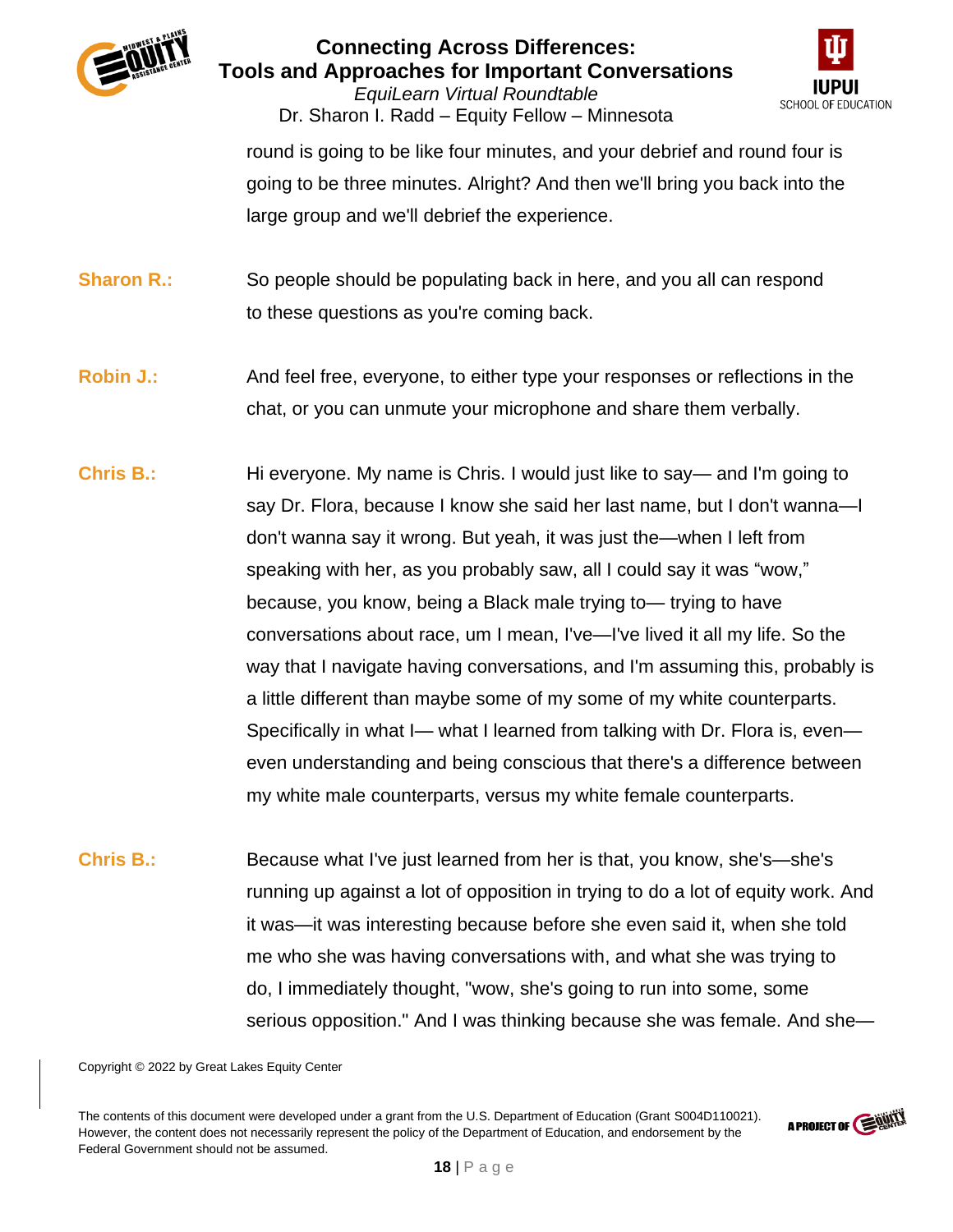





round is going to be like four minutes, and your debrief and round four is going to be three minutes. Alright? And then we'll bring you back into the large group and we'll debrief the experience.

**Sharon R.:** So people should be populating back in here, and you all can respond to these questions as you're coming back.

- **Robin J.:** And feel free, everyone, to either type your responses or reflections in the chat, or you can unmute your microphone and share them verbally.
- **Chris B.:** Hi everyone. My name is Chris. I would just like to say— and I'm going to say Dr. Flora, because I know she said her last name, but I don't wanna—I don't wanna say it wrong. But yeah, it was just the—when I left from speaking with her, as you probably saw, all I could say it was "wow," because, you know, being a Black male trying to— trying to have conversations about race, um I mean, I've—I've lived it all my life. So the way that I navigate having conversations, and I'm assuming this, probably is a little different than maybe some of my some of my white counterparts. Specifically in what I— what I learned from talking with Dr. Flora is, even even understanding and being conscious that there's a difference between my white male counterparts, versus my white female counterparts.
- **Chris B.:** Because what I've just learned from her is that, you know, she's—she's running up against a lot of opposition in trying to do a lot of equity work. And it was—it was interesting because before she even said it, when she told me who she was having conversations with, and what she was trying to do, I immediately thought, "wow, she's going to run into some, some serious opposition." And I was thinking because she was female. And she—

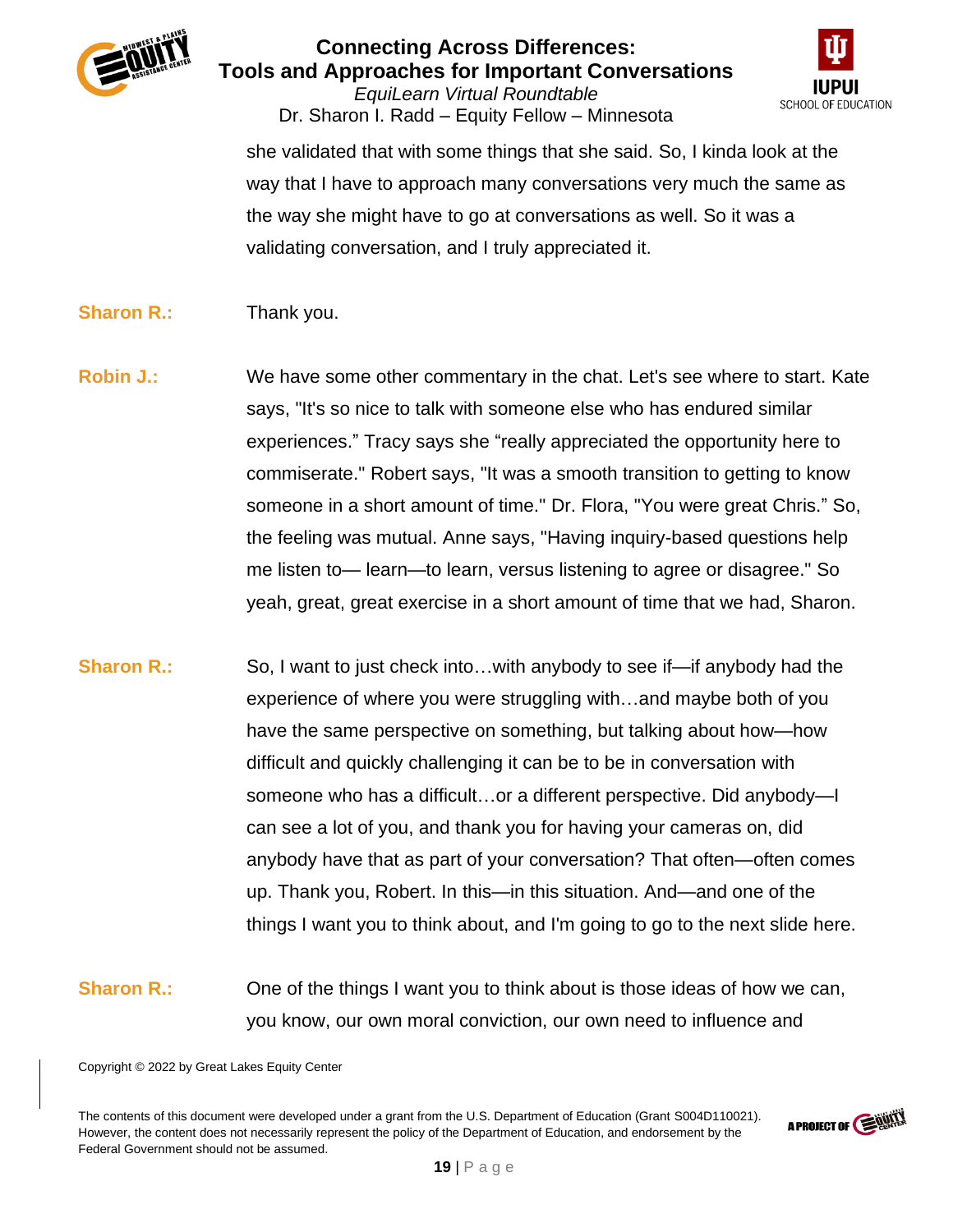

*EquiLearn Virtual Roundtable* Dr. Sharon I. Radd – Equity Fellow – Minnesota



she validated that with some things that she said. So, I kinda look at the way that I have to approach many conversations very much the same as the way she might have to go at conversations as well. So it was a validating conversation, and I truly appreciated it.

- **Sharon R.:** Thank you.
- **Robin J.:** We have some other commentary in the chat. Let's see where to start. Kate says, "It's so nice to talk with someone else who has endured similar experiences." Tracy says she "really appreciated the opportunity here to commiserate." Robert says, "It was a smooth transition to getting to know someone in a short amount of time." Dr. Flora, "You were great Chris." So, the feeling was mutual. Anne says, "Having inquiry-based questions help me listen to— learn—to learn, versus listening to agree or disagree." So yeah, great, great exercise in a short amount of time that we had, Sharon.
- **Sharon R.:** So, I want to just check into...with anybody to see if—if anybody had the experience of where you were struggling with…and maybe both of you have the same perspective on something, but talking about how—how difficult and quickly challenging it can be to be in conversation with someone who has a difficult…or a different perspective. Did anybody—I can see a lot of you, and thank you for having your cameras on, did anybody have that as part of your conversation? That often—often comes up. Thank you, Robert. In this—in this situation. And—and one of the things I want you to think about, and I'm going to go to the next slide here.
- **Sharon R.:** One of the things I want you to think about is those ideas of how we can, you know, our own moral conviction, our own need to influence and

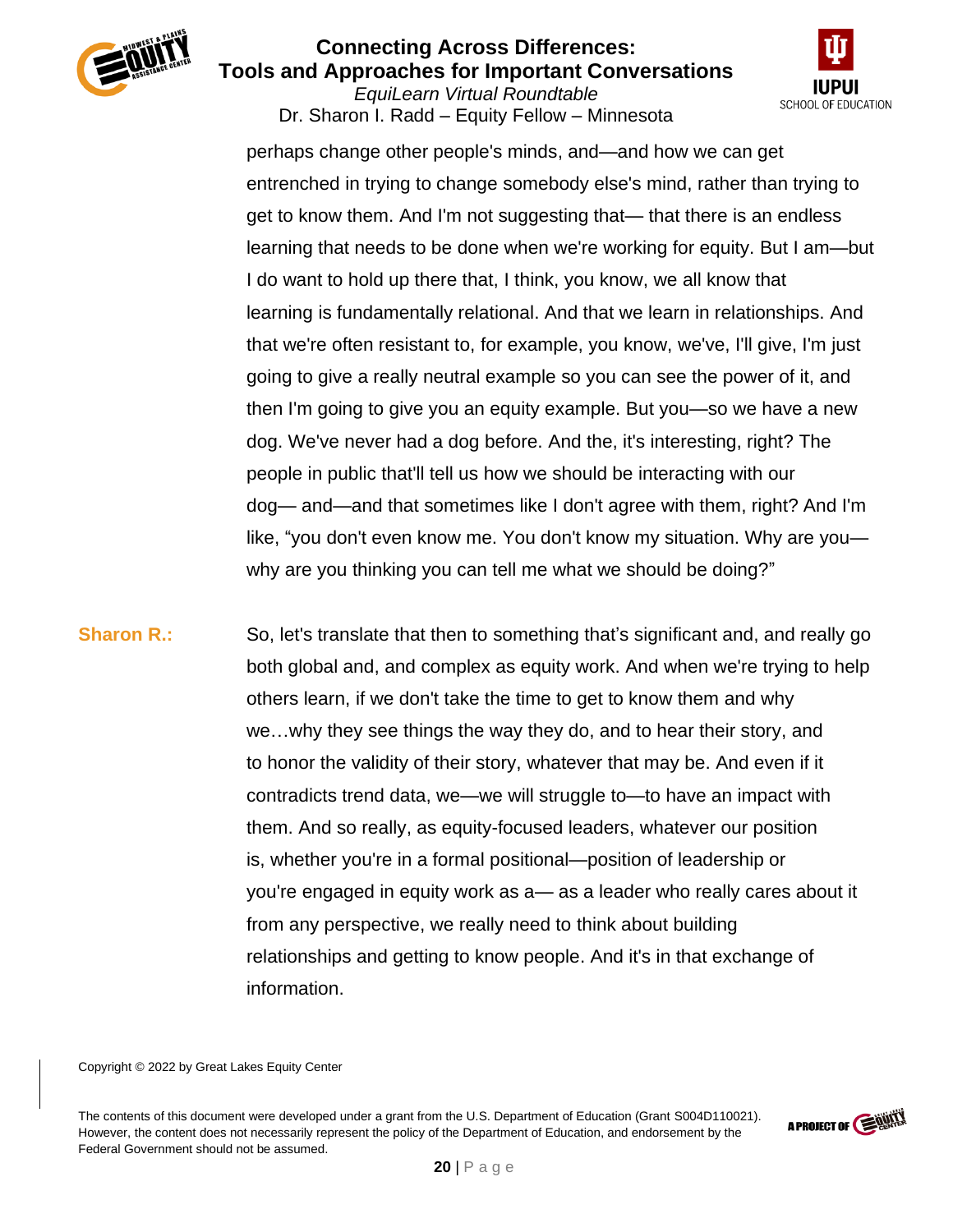

*EquiLearn Virtual Roundtable* Dr. Sharon I. Radd – Equity Fellow – Minnesota



perhaps change other people's minds, and—and how we can get entrenched in trying to change somebody else's mind, rather than trying to get to know them. And I'm not suggesting that— that there is an endless learning that needs to be done when we're working for equity. But I am—but I do want to hold up there that, I think, you know, we all know that learning is fundamentally relational. And that we learn in relationships. And that we're often resistant to, for example, you know, we've, I'll give, I'm just going to give a really neutral example so you can see the power of it, and then I'm going to give you an equity example. But you—so we have a new dog. We've never had a dog before. And the, it's interesting, right? The people in public that'll tell us how we should be interacting with our dog— and—and that sometimes like I don't agree with them, right? And I'm like, "you don't even know me. You don't know my situation. Why are you why are you thinking you can tell me what we should be doing?"

**Sharon R.:** So, let's translate that then to something that's significant and, and really go both global and, and complex as equity work. And when we're trying to help others learn, if we don't take the time to get to know them and why we…why they see things the way they do, and to hear their story, and to honor the validity of their story, whatever that may be. And even if it contradicts trend data, we—we will struggle to—to have an impact with them. And so really, as equity-focused leaders, whatever our position is, whether you're in a formal positional—position of leadership or you're engaged in equity work as a— as a leader who really cares about it from any perspective, we really need to think about building relationships and getting to know people. And it's in that exchange of information.

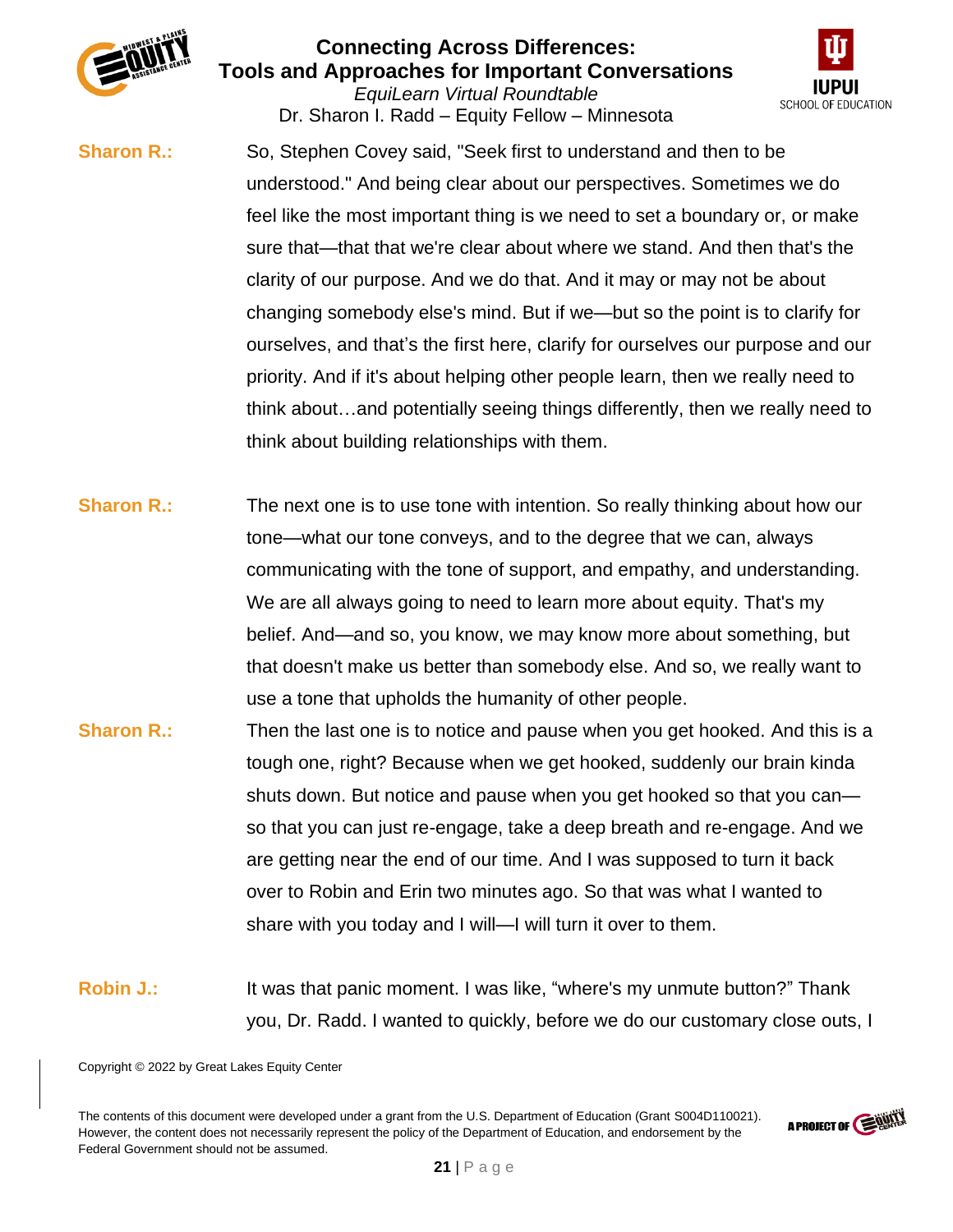

*EquiLearn Virtual Roundtable* Dr. Sharon I. Radd – Equity Fellow – Minnesota



**Sharon R.:** So, Stephen Covey said, "Seek first to understand and then to be understood." And being clear about our perspectives. Sometimes we do feel like the most important thing is we need to set a boundary or, or make sure that—that that we're clear about where we stand. And then that's the clarity of our purpose. And we do that. And it may or may not be about changing somebody else's mind. But if we—but so the point is to clarify for ourselves, and that's the first here, clarify for ourselves our purpose and our priority. And if it's about helping other people learn, then we really need to think about…and potentially seeing things differently, then we really need to think about building relationships with them.

- **Sharon R.:** The next one is to use tone with intention. So really thinking about how our tone—what our tone conveys, and to the degree that we can, always communicating with the tone of support, and empathy, and understanding. We are all always going to need to learn more about equity. That's my belief. And—and so, you know, we may know more about something, but that doesn't make us better than somebody else. And so, we really want to use a tone that upholds the humanity of other people.
- **Sharon R.:** Then the last one is to notice and pause when you get hooked. And this is a tough one, right? Because when we get hooked, suddenly our brain kinda shuts down. But notice and pause when you get hooked so that you can so that you can just re-engage, take a deep breath and re-engage. And we are getting near the end of our time. And I was supposed to turn it back over to Robin and Erin two minutes ago. So that was what I wanted to share with you today and I will—I will turn it over to them.
- **Robin J.:** It was that panic moment. I was like, "where's my unmute button?" Thank you, Dr. Radd. I wanted to quickly, before we do our customary close outs, I

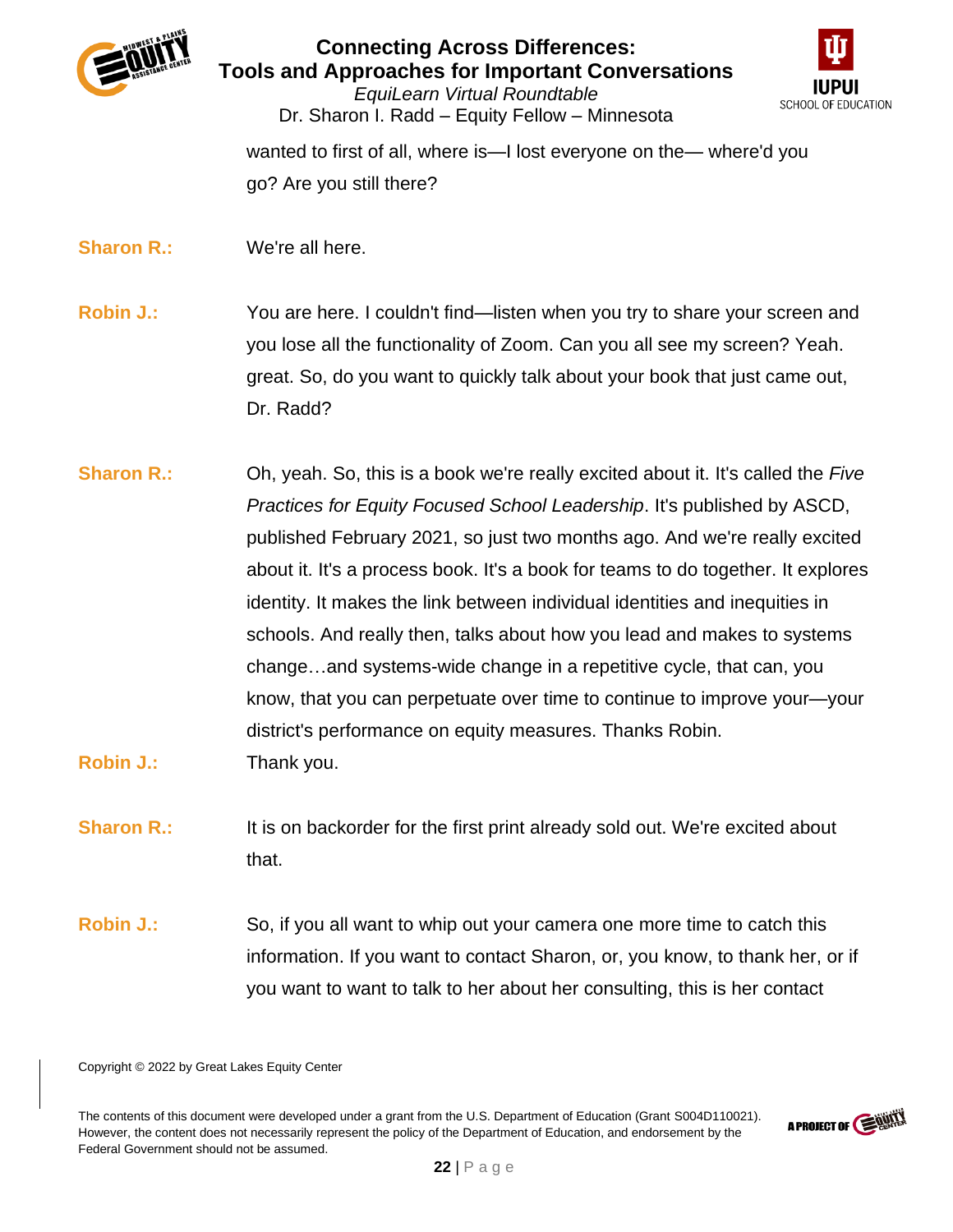



*EquiLearn Virtual Roundtable* Dr. Sharon I. Radd – Equity Fellow – Minnesota

wanted to first of all, where is—I lost everyone on the— where'd you go? Are you still there?

**Sharon R.:** We're all here.

**Robin J.:** You are here. I couldn't find—listen when you try to share your screen and you lose all the functionality of Zoom. Can you all see my screen? Yeah. great. So, do you want to quickly talk about your book that just came out, Dr. Radd?

**Sharon R.:** Oh, yeah. So, this is a book we're really excited about it. It's called the *Five Practices for Equity Focused School Leadership*. It's published by ASCD, published February 2021, so just two months ago. And we're really excited about it. It's a process book. It's a book for teams to do together. It explores identity. It makes the link between individual identities and inequities in schools. And really then, talks about how you lead and makes to systems change…and systems-wide change in a repetitive cycle, that can, you know, that you can perpetuate over time to continue to improve your—your district's performance on equity measures. Thanks Robin. **Robin J.:** Thank you.

**Sharon R.:** It is on backorder for the first print already sold out. We're excited about that.

**Robin J.:** So, if you all want to whip out your camera one more time to catch this information. If you want to contact Sharon, or, you know, to thank her, or if you want to want to talk to her about her consulting, this is her contact

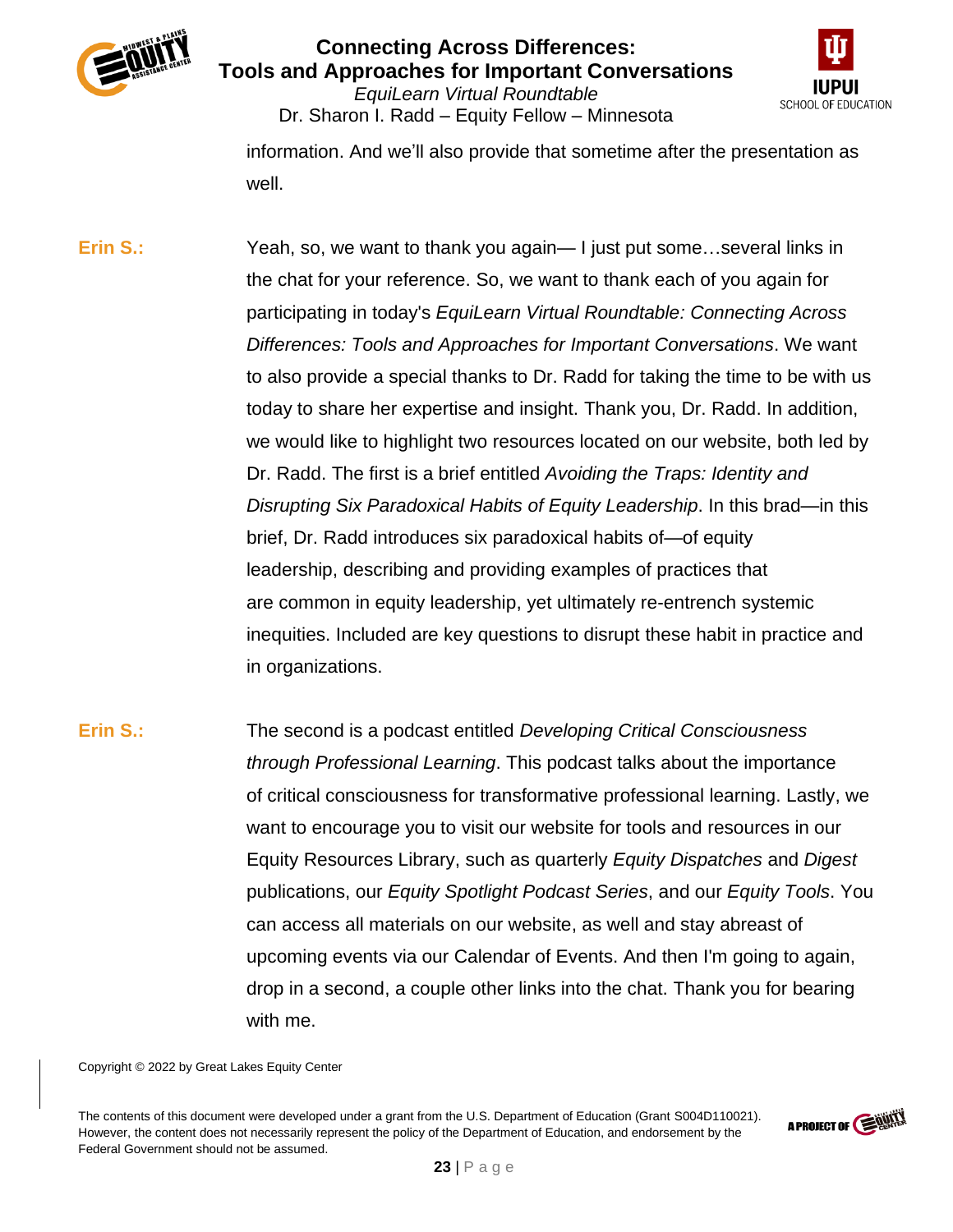



*EquiLearn Virtual Roundtable* Dr. Sharon I. Radd – Equity Fellow – Minnesota

information. And we'll also provide that sometime after the presentation as well.

**Erin S.:** Yeah, so, we want to thank you again— I just put some...several links in the chat for your reference. So, we want to thank each of you again for participating in today's *EquiLearn Virtual Roundtable: Connecting Across Differences: Tools and Approaches for Important Conversations*. We want to also provide a special thanks to Dr. Radd for taking the time to be with us today to share her expertise and insight. Thank you, Dr. Radd. In addition, we would like to highlight two resources located on our website, both led by Dr. Radd. The first is a brief entitled *Avoiding the Traps: Identity and Disrupting Six Paradoxical Habits of Equity Leadership*. In this brad—in this brief, Dr. Radd introduces six paradoxical habits of—of equity leadership, describing and providing examples of practices that are common in equity leadership, yet ultimately re-entrench systemic inequities. Included are key questions to disrupt these habit in practice and in organizations.

**Erin S.:** The second is a podcast entitled *Developing Critical Consciousness through Professional Learning*. This podcast talks about the importance of critical consciousness for transformative professional learning. Lastly, we want to encourage you to visit our website for tools and resources in our Equity Resources Library, such as quarterly *Equity Dispatches* and *Digest* publications, our *Equity Spotlight Podcast Series*, and our *Equity Tools*. You can access all materials on our website, as well and stay abreast of upcoming events via our Calendar of Events. And then I'm going to again, drop in a second, a couple other links into the chat. Thank you for bearing with me.

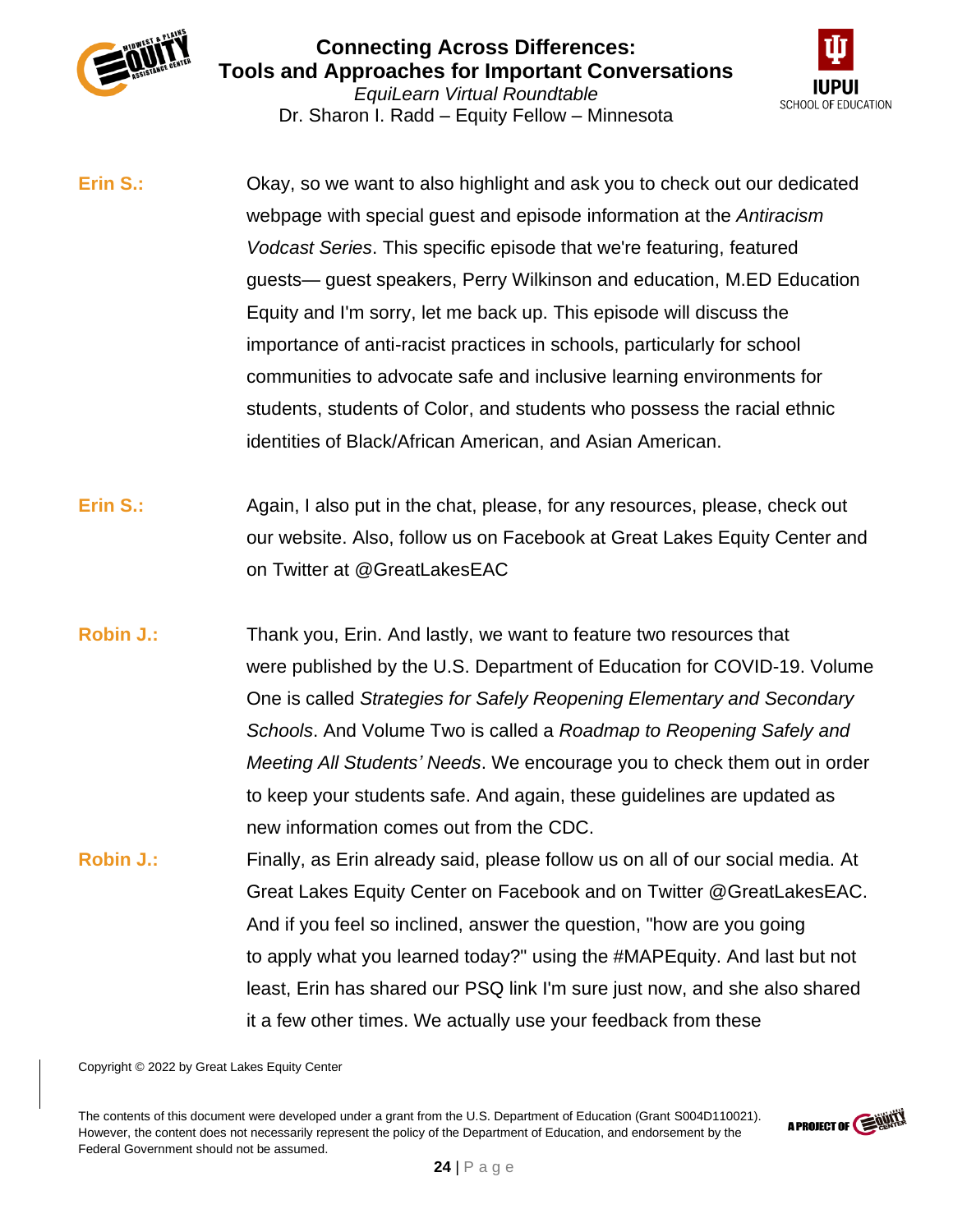



Dr. Sharon I. Radd – Equity Fellow – Minnesota

- **Erin S.:** Okay, so we want to also highlight and ask you to check out our dedicated webpage with special guest and episode information at the *Antiracism Vodcast Series*. This specific episode that we're featuring, featured guests— guest speakers, Perry Wilkinson and education, M.ED Education Equity and I'm sorry, let me back up. This episode will discuss the importance of anti-racist practices in schools, particularly for school communities to advocate safe and inclusive learning environments for students, students of Color, and students who possess the racial ethnic identities of Black/African American, and Asian American.
- **Erin S.:** Again, I also put in the chat, please, for any resources, please, check out our website. Also, follow us on Facebook at Great Lakes Equity Center and on Twitter at @GreatLakesEAC
- **Robin J.:** Thank you, Erin. And lastly, we want to feature two resources that were published by the U.S. Department of Education for COVID-19. Volume One is called *Strategies for Safely Reopening Elementary and Secondary Schools*. And Volume Two is called a *Roadmap to Reopening Safely and Meeting All Students' Needs*. We encourage you to check them out in order to keep your students safe. And again, these guidelines are updated as new information comes out from the CDC.
- **Robin J.:** Finally, as Erin already said, please follow us on all of our social media. At Great Lakes Equity Center on Facebook and on Twitter @GreatLakesEAC. And if you feel so inclined, answer the question, "how are you going to apply what you learned today?" using the #MAPEquity. And last but not least, Erin has shared our PSQ link I'm sure just now, and she also shared it a few other times. We actually use your feedback from these